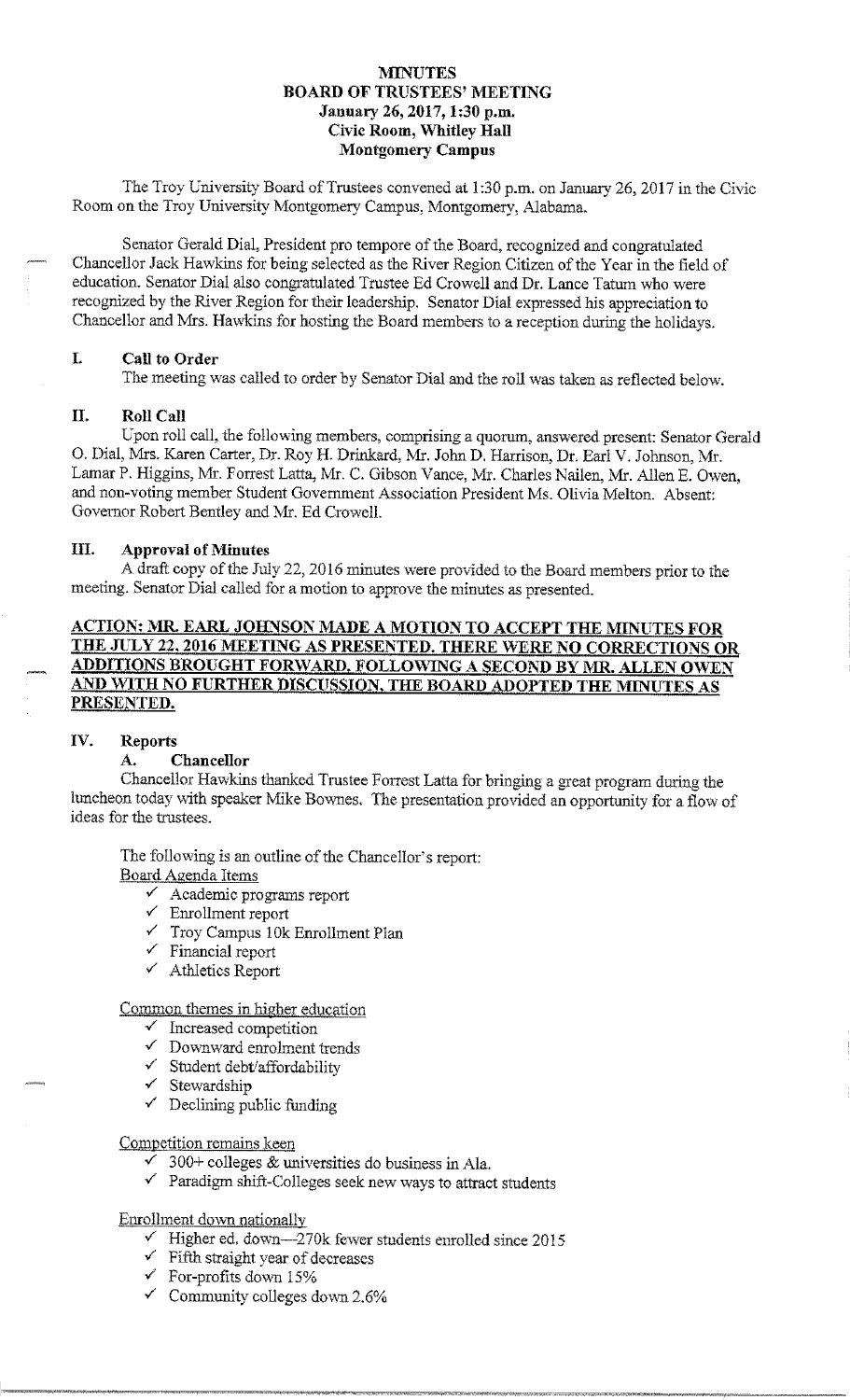# **MINUTES BOARD OF TRUSTEES' MEETING January 26, 2017, I :30 p.m. Civic Room, \Vhitley Hall l\1ontgomery Campus**

The Troy University Board of Trustees convened at 1 :30 p.m. on January 26, 2017 in the Civic Room on the Troy University Montgomery Campus, Montgomery, Alabama.

Senator Gerald Dial, President pro tempore of the Board, recognized and congratulated Chancellor Jack Hawkins for being selected as the River Region Citizen of the Year in the field of education. Senator Dial also congratulated Trustee Ed Crowell and Dr. Lance Tatum who were recognized by the River Region for their leadership. Senator Dial expressed his appreciation to Chancellor and Mrs. Hawkins for hosting the Board members to a reception during the holidays.

# **L Call to Order**

The meeting was called to order by Senator Dial and the roll was taken as reflected below.

#### **II. Roll Call**

Upon roll call, the following members, comprising a quorum, answered present: Senator Gerald 0. Dial, Mrs. Karen Carter, Dr. Roy **H.** Drinkard, Mr. John D. Harrison, Dr. Earl V. Johnson, Mr. Lamar P. Higgins, Mr. Forrest Latta, Mr. C. Gibson Vance, Mr. Charles Nailen, Mr. Allen E. Owen, and non-voting member Student Government Association President Ms. Olivia Melton. Absent: Governor Robert Bentley and Mr. Ed Crowell.

#### **III.** Approval of Minutes

A draft copy of the July 22, 2016 minutes were provided to the Board members prior to the meeting. Senator Dial called for a motion to approve the minutes as presented.

# **ACTION: MR. EARL JOHNSON MADE A MOTION TO ACCEPT THE MINUTES FOR** THE JULY 22, 2016 MEETING AS PRESENTED. THERE WERE NO CORRECTIONS OR **ADDITIONS BROUGHT FORWARD. FOLLOWING A SECOND BY MR. ALLEN OW'EN AND WITH NO FURTHER DISCUSSION, THE BOARD ADOPTED THE MINUTES AS PRESENTED.**

#### **IV. Reports**

# **A. Chancellor**

Chancellor Hawkins thanked Trustee Forrest Latta for bringing a great program during the luncheon today with speaker Mike Bownes. The presentation provided an opportunity for a flow of ideas for the trustees.

The following is an outline of the Chancellor's report:

#### Board Agenda Items

- $\checkmark$  Academic programs report
- ✓ Enrollment report
- $\checkmark$  Troy Campus 10k Enrollment Plan
- $\checkmark$  Financial report
- ✓ Athletics Report

# Common themes in higher education

- $\checkmark$  Increased competition
- ✓ Downward enrohnent trends
- ✓ Student debt/affordability
- ✓ Stewardship
- $\checkmark$  Declining public funding

#### Competition remains keen

- $\sim$  300+ colleges & universities do business in Ala.
- $\checkmark$  Paradigm shift-Colleges seek new ways to attract students

# Enrollment down nationally

- $\checkmark$  Higher ed. down-270k fewer students enrolled since 2015
- $\checkmark$  Fifth straight year of decreases
- $\checkmark~$  For-profits down 15%
- $\checkmark$  Community colleges down 2.6%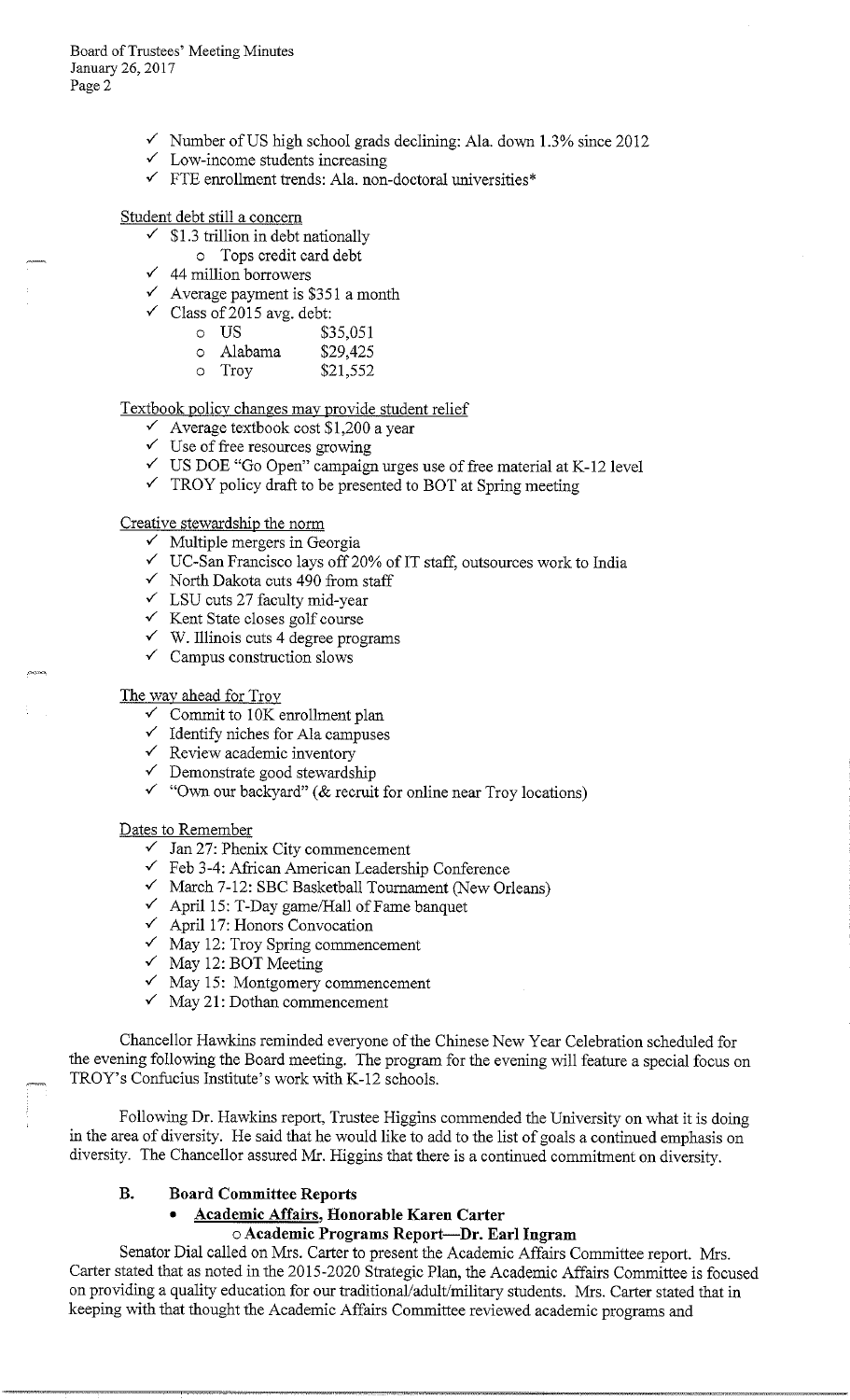- $\checkmark$  Number of US high school grads declining: Ala. down 1.3% since 2012
- Low-income students increasing
- ✓ FTE emollment trends: Ala. non-doctoral universities\*

# Student debt still a concern

- $\checkmark$  \$1.3 trillion in debt nationally
	- o Tops credit card debt
- $\checkmark$  44 million borrowers
- $\checkmark$  Average payment is \$351 a month
- $\checkmark$  Class of 2015 avg. debt:
	- o US \$35,051<br>
	o Alabama \$29,425
	- o Alabama<br>o Trov
	- \$21,552

#### Textbook policy changes may provide student relief

- $\checkmark$  Average textbook cost \$1,200 a year
- $\checkmark$  Use of free resources growing
- ✓ US DOE "Go Open" campaign urges use of free material at K-12 level
- $\checkmark$  TROY policy draft to be presented to BOT at Spring meeting

#### Creative stewardship the norm

- $\checkmark$  Multiple mergers in Georgia
- $\checkmark$  UC-San Francisco lays off 20% of IT staff, outsources work to India
- ✓ North Dakota cuts 490 from staff
- ✓ LSU cuts 27 faculty mid-year
- ✓ Kent State closes golf course
- $\checkmark$  W. Illinois cuts 4 degree programs
- $\checkmark$  Campus construction slows

#### The way ahead for Troy

- $\checkmark$  Commit to 10K enrollment plan
- $\checkmark$ Identify niches for Ala campuses
- ✓ Review academic inventory
- ✓ Demonstrate good stewardship
- ✓ "Own our backyard" (& recruit for online near Troy locations)

#### Dates to Remember

- $\checkmark$  Jan 27: Phenix City commencement
- ✓ Feb 3-4: African American Leadership Conference
- ✓ March 7-12: SBC Basketball Tournament (New Orleans)
- $\checkmark$  April 15: T-Day game/Hall of Fame banquet
- ✓ April 17: Honors Convocation
- $\checkmark$  May 12: Troy Spring commencement
- $\checkmark$  May 12: BOT Meeting
- $\checkmark$  May 15: Montgomery commencement
- ✓ May 21: Dothan commencement

Chancellor Hawkins reminded everyone of the Chinese New Year Celebration scheduled for the evening following the Board meeting. The program for the evening will feature a special focus on TROY's Confucius Institute's work with K-12 schools.

Following Dr. Hawkins report, Trustee Higgins commended the University on what it is doing in the area of diversity. He said that he would like to add to the list of goals a continued emphasis on diversity. The Chancellor assured Mr. Higgins that there is a continued commitment on diversity.

#### **B. Board Committee Reports**

# • **Academic Affairs, Honorable Karen Carter**  o **Academic Programs Report-Dr. Earl Ingram**

Senator Dial called on Mrs. Carter to present the Academic Affairs Committee report. Mrs. Carter stated that as noted in the 2015-2020 Strategic Plan, the Academic Affairs Committee is focused on providing a quality education for our traditional/adult/military students. Mrs. Carter stated that in keeping with that thought the Academic Affairs Committee reviewed academic programs and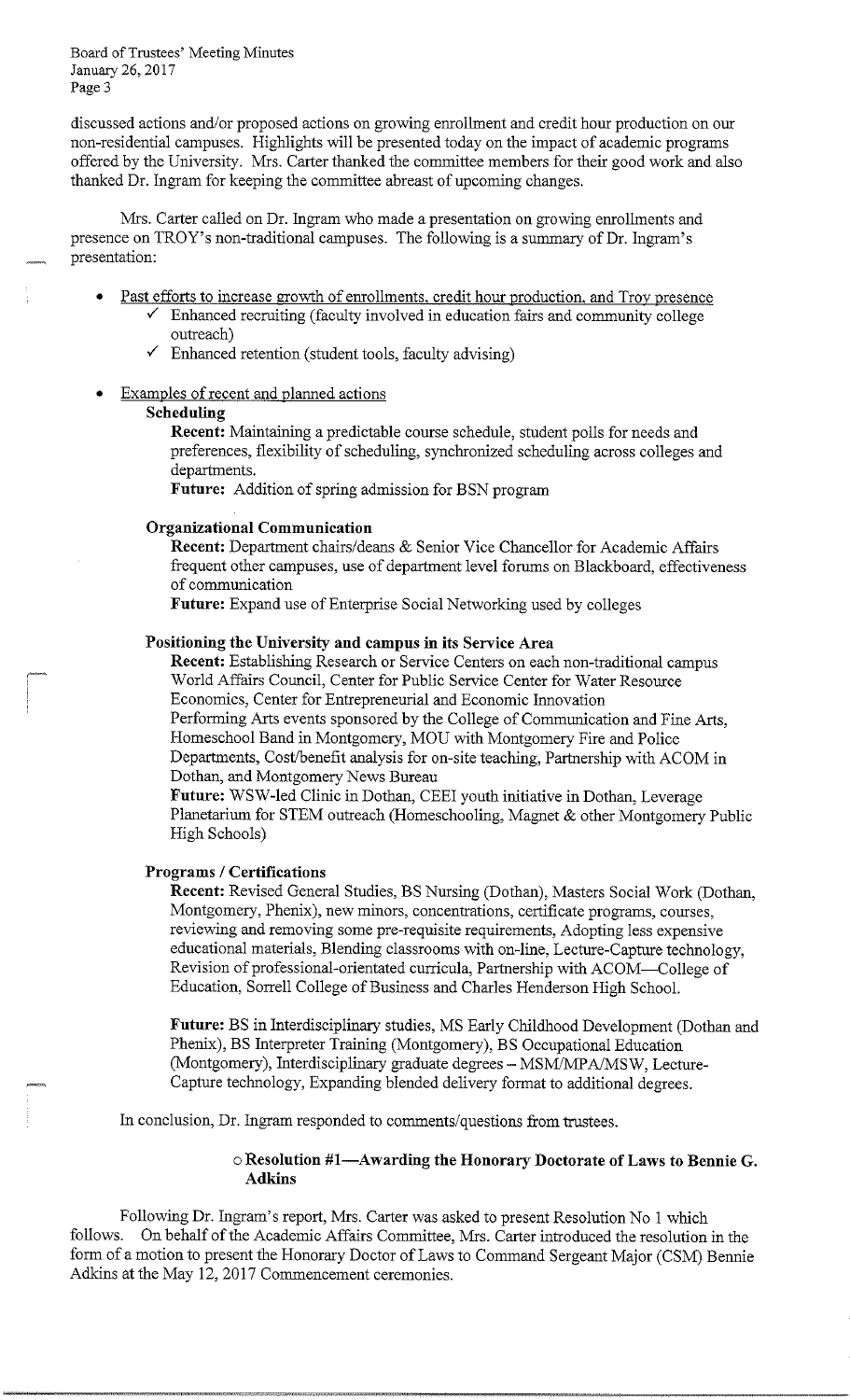discussed actions and/or proposed actions on growing enrollment and credit hour production on our non-residential campuses. Highlights will be presented today on the impact of academic programs offered by the University. Mrs. Carter thanked the committee members for their good work and also thanked Dr. Ingram for keeping the committee abreast of upcoming changes.

Mrs. Carter called on Dr. Ingram who made a presentation on growing enrollments and presence on TROY's non-traditional campuses. The following is a summary of Dr. Ingram's presentation:

- Past efforts to increase growth of enrollments, credit hour production, and Troy presence  $\checkmark$  Enhanced recruiting (faculty involved in education fairs and community college outreach)
	- Enhanced retention (student tools, faculty advising)
- Examples of recent and planned actions

# **Scheduling**

**Recent:** Maintaining a predictable course schedule, student polls for needs and preferences, flexibility of scheduling, synchronized scheduling across colleges and departments.

**Future:** Addition of spring admission for BSN program

#### **Organizational Communication**

**Recent:** Department chairs/deans & Senior Vice Chancellor for Academic Affairs frequent other campuses, use of department level forums on Blackboard, effectiveness of communication

**Future:** Expand use of Enterprise Social Networking used by colleges

#### **Positioning the University and campus in its Service Area**

**Recent:** Establishing Research or Service Centers on each non-traditional campus Fostioning the University and Campus in its Service Area<br>Recent: Establishing Research or Service Centers on each non-traditional can<br>World Affairs Council, Center for Public Service Center for Water Resource Economics, Center for Entrepreneurial and Economic Innovation Performing Arts events sponsored by the College of Communication and Fine Arts, Homeschool Band in Montgomery, MOU with Montgomery Fire and Police Departments, Cost/benefit analysis for on-site teaching, Partnership with ACOM in Dothan, and Montgomery News Bureau

**Future:** WSW-led Clinic in Dothan, CEEI youth initiative in Dothan, Leverage Planetarium for STEM outreach (Homeschooling, Magnet & other Montgomery Public High Schools)

#### **Programs / Certifications**

**Recent:** Revised General Studies, BS Nursing (Dothan), Masters Social Work (Dothan, Montgomery, Phenix), new minors, concentrations, certificate programs, courses, reviewing and removing some pre-requisite requirements, Adopting less expensive educational materials, Blending classrooms with on-line, Lecture-Capture technology, Revision of professional-orientated curricula, Partnership with ACOM-College of Education, Sorrell College of Business and Charles Henderson High School.

**Future:** BS in Interdisciplinary studies, MS Early Childhood Development (Dothan and Phenix), BS Interpreter Training (Montgomery), BS Occupational Education (Montgomery), Interdisciplinary graduate degrees - MSM/MPA/MSW, Lecture-Capture technology, Expanding blended delivery format to additional degrees.

In conclusion, Dr. Ingram responded to comments/questions from trustees.

# o **Resolution #I-Awarding the Honorary Doctorate of Laws to Bennie G. Adkins**

Following Dr. Ingram's report, Mrs. Carter was asked to present Resolution No 1 which follows. On behalf of the Academic Affairs Committee, Mrs. Carter introduced the resolution in the form of a motion to present the Honorary Doctor of Laws to Command Sergeant Major (CSM) Bennie Adkins at the May 12, 2017 Commencement ceremonies.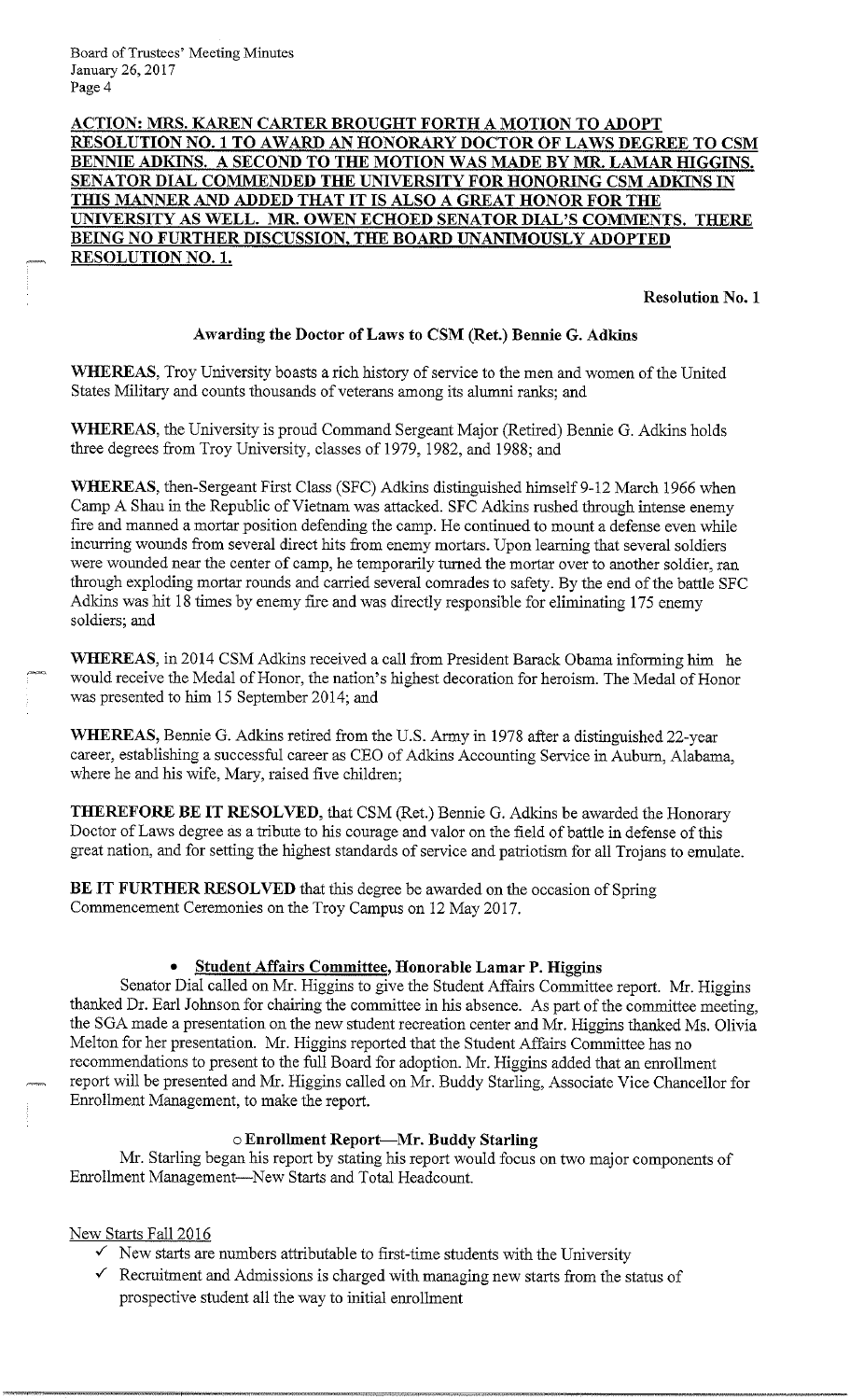# **ACTION: MRS. KAREN CARTER BROUGHT FORTH A MOTION TO ADOPT RESOLUTION NO. 1 TO AW ARD AN HONORARY DOCTOR OF LAWS DEGREE TO CSM BENNIE ADKINS. A SECOND TO THE MOTION WAS MADE BY MR. LAMAR HIGGINS. SENATOR DIAL COMMENDED THE UNIVERSITY FOR HONORING CSM ADKINS IN**  THIS MANNER AND ADDED THAT IT IS ALSO A GREAT HONOR FOR THE **UNIVERSITY AS WELL. MR. OWEN ECHOED SENATOR DIAL'S COMMENTS. THERE BEING NO FURTHER DISCUSSION, THE BOARD UNANIMOUSLY ADOPTED RESOLUTION NO. I.**

**Resolution No. 1** 

# **Awarding the Doctor of Laws to CSM (Ret.) Bennie G. Adkins**

**WHEREAS,** Troy University boasts a rich history of service to the men and women of the United States Military and counts thousands of veterans among its alumni ranks; and

**WHEREAS,** the University is proud Command Sergeant Major (Retired) Bennie G. Adkins holds three degrees from Troy University, classes of 1979, 1982, and 1988; and

WHEREAS, then-Sergeant First Class (SFC) Adkins distinguished himself 9-12 March 1966 when Camp A Shau in the Republic of Vietnam was attacked. SFC Adkins rushed through intense enemy fire and manned a mortar position defending the camp. He continued to mount a defense even while incurring wounds from several direct hits from enemy mortars. Upon learning that several soldiers were wounded near the center of camp, he temporarily turned the mortar over to another soldier, ran through exploding mortar rounds and carried several comrades to safety. By the end of the battle SFC Adkins was hit 18 times by enemy fire and was directly responsible for eliminating 175 enemy soldiers; and

**WHEREAS,** in 2014 CSM Adkins received a call from President Barack Obama informing him he would receive the Medal of Honor, the nation's highest decoration for heroism. The Medal of Honor was presented to him 15 September 2014; and

**WHEREAS,** Bennie G. Adkins retired from the U.S. Army in 1978 after a distinguished 22-year career, establishing a successful career as CEO of Adkins Accounting Service in Auburn, Alabama, where he and his wife, Mary, raised five children;

**THEREFORE BE IT RESOLVED,** that CSM (Ret.) Bennie G. Adkins be awarded the Honorary Doctor of Laws degree as a tribute to his courage and valor on the field of battle in defense of this great nation, and for setting the highest standards of service and patriotism for all Trojans to emulate.

**BE IT FURTHER RESOLVED** that this degree be awarded on the occasion of Spring Commencement Ceremonies on the Troy Campus on 12 May 2017.

# • **Student Affairs Committee, Honorable Lamar P. Higgins**

Senator Dial called on Mr. Higgins to give the Student Affairs Committee report. Mr. Higgins thanked Dr. Earl Johnson for chairing the committee in his absence. As part of the committee meeting, the SGA made a presentation on the new student recreation center and Mr. Higgins thanked Ms. Olivia Melton for her presentation. Mr. Higgins reported that the Student Affairs Committee has no recommendations to present to the full Board for adoption. Mr. Higgins added that an enrollment report will be presented and Mr. Higgins called on Mr. Buddy Starling, Associate Vice Chancellor for Enrolhnent Management, to make the report.

# o **Enrollment Report-Mr. Buddy Starling**

Mr. Starling began his report by stating his report would focus on two major components of Enrolhnent Management-New Starts and Total Headcount.

# New Starts Fall 2016

- $\checkmark$  New starts are numbers attributable to first-time students with the University
- $\checkmark$  Recruitment and Admissions is charged with managing new starts from the status of prospective student all the way to initial enrollment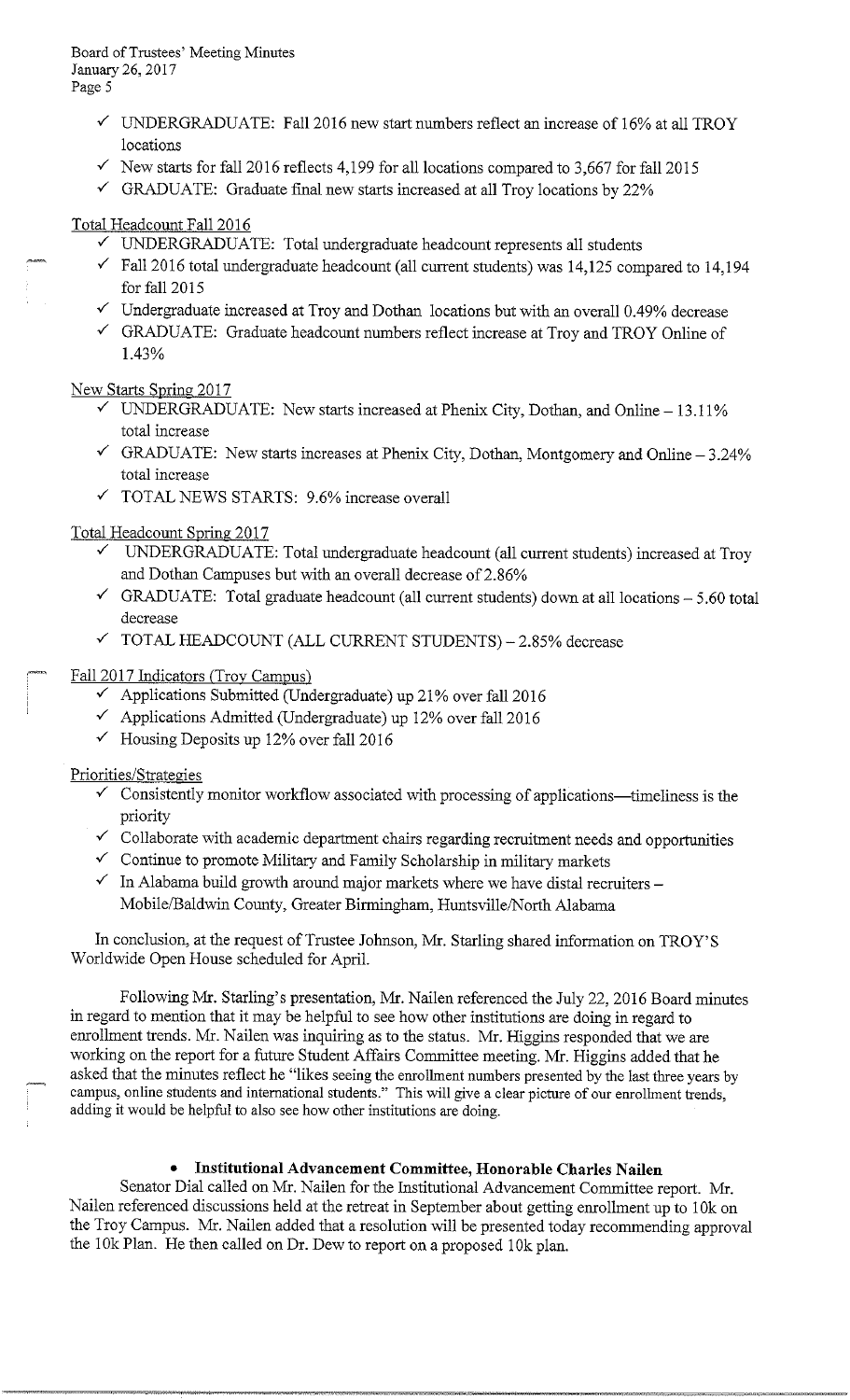- $\checkmark$  UNDERGRADUATE: Fall 2016 new start numbers reflect an increase of 16% at all TROY locations
- $\checkmark$  New starts for fall 2016 reflects 4,199 for all locations compared to 3,667 for fall 2015
- $\checkmark$  GRADUATE: Graduate final new starts increased at all Troy locations by 22%

# Total Headcount Fall 2016

- ✓ UNDERGRADUATE: Total undergraduate headcount represents all students
- $\checkmark$  Fall 2016 total undergraduate headcount (all current students) was 14,125 compared to 14,194 for fall 2015
- $\checkmark$  Undergraduate increased at Troy and Dothan locations but with an overall 0.49% decrease
- ✓ GRADUATE: Graduate headcount numbers reflect increase at Troy and TROY Online of 1.43%

# New Starts Spring 2017

- UNDERGRADUATE: New starts increased at Phenix City, Dothan, and Online 13.11% total increase
- $\checkmark$  GRADUATE: New starts increases at Phenix City, Dothan, Montgomery and Online 3.24% total increase
- $\checkmark$  TOTAL NEWS STARTS: 9.6% increase overall

# Iota! Headcount Spring 2017

- $\checkmark$  UNDERGRADUATE: Total undergraduate headcount (all current students) increased at Troy and Dothan Campuses but with an overall decrease of 2.86%
- $\checkmark$  GRADUATE: Total graduate headcount (all current students) down at all locations  $-5.60$  total decrease
- $\checkmark$  TOTAL HEADCOUNT (ALL CURRENT STUDENTS) 2.85% decrease

Fall 2017 Indicators (Troy Campus)

- $\checkmark$  Applications Submitted (Undergraduate) up 21% over fall 2016
- $\checkmark$  Applications Admitted (Undergraduate) up 12% over fall 2016
- $\checkmark$  Housing Deposits up 12% over fall 2016

# Priorities/Strategies

- $\checkmark$  Consistently monitor workflow associated with processing of applications—timeliness is the priority
- $\checkmark$  Collaborate with academic department chairs regarding recruitment needs and opportunities
- $\checkmark$  Continue to promote Military and Family Scholarship in military markets
- $\checkmark$  In Alabama build growth around major markets where we have distal recruiters Mobile/Baldwin County, Greater Birmingham, Huntsville/North Alabama

In conclusion, at the request of Trustee Johnson, Mr. Starling shared information on TROY'S Worldwide Open House scheduled for April.

Following Mr. Starling's presentation, Mr. Nailen referenced the July 22, 2016 Board minutes in regard to mention that it may be helpful to see how other institutions are doing in regard to enrollment trends. Mr. Nailen was inquiring as to the status. Mr. Higgins responded that we are working on the report for a future Student Affairs Committee meeting. Mr. Higgins added that he asked that the minutes reflect he "likes seeing the enrollment numbers presented by the last three years by campus, online students and international students." This will give a clear picture of our enrollment trends, adding it would be helpful to also see how other institutions are doing.

# • **Institutional Advancement Committee, Honorable Charles Nailen**

Senator Dial called on Mr. Nailen for the Institutional Advancement Committee report. Mr. Nailen referenced discussions held at the retreat in September about getting enrollment up to 1 Ok on the Troy Campus. Mr. Nailen added that a resolution will be presented today recommending approval the 10k Plan. He then called on Dr. Dew to report on a proposed 10k plan.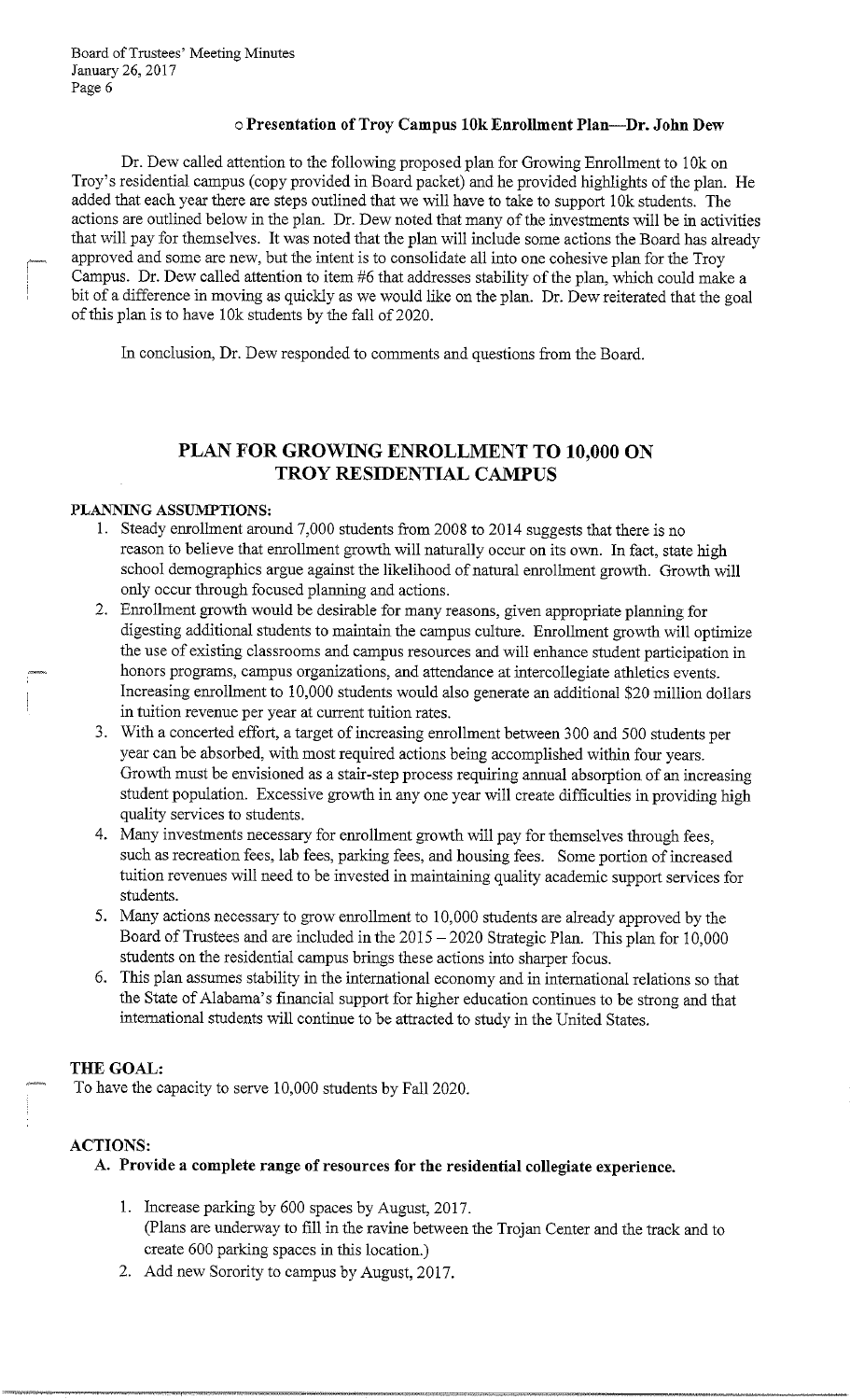# o **Presentation of Troy Campus 10k Enrollment Plan-Dr. John Dew**

Dr. Dew called attention to the following proposed plan for Growing Enrollment to 1 Ok on Troy's residential campus (copy provided in Board packet) and he provided highlights of the plan. He added that each year there are steps outlined that we will have to take to support 10k students. The actions are outlined below in the plan. Dr. Dew noted that many of the investments will be in activities that will pay for themselves. It was noted that the plan will include some actions the Board has already approved and some are new, but the intent is to consolidate all into one cohesive plan for the Troy Campus. Dr. Dew called attention to item #6 that addresses stability of the plan, which could make a bit of a difference in moving as quickly as we would like on the plan. Dr. Dew reiterated that the goal of this plan is to have !Ok students by the fall of 2020.

In conclusion, Dr. Dew responded to comments and questions from the Board.

# **PLAN FOR GROWING ENROLLMENT TO 10,000 ON TROY RESIDENTIAL CAMPUS**

#### **PLANNING ASSUMPTIONS:**

- 1. Steady enrollment around 7,000 students from 2008 to 2014 suggests that there is no reason to believe that enrollment growth will naturally occur on its own. In fact, state high school demographics argue against the likelihood of natural enrollment growth. Growth will only occur through focused planning and actions.
- 2. Enrollment growth would be desirable for many reasons, given appropriate planning for digesting additional students to maintain the campus culture. Enrollment growth will optimize the use of existing classrooms and campus resources and will enhance student participation in honors programs, campus organizations, and attendance at intercollegiate athletics events. Increasing enrollment to 10,000 students would also generate an additional \$20 million dollars in tuition revenue per year at current tuition rates.
- 3. With a concerted effort, a target of increasing enrollment between 300 and 500 students per year can be absorbed, with most required actions being accomplished within four years. Growth must be envisioned as a stair-step process requiring annual absorption of an increasing student population. Excessive growth in any one year will create difficulties in providing high quality services to students.
- 4. Many investments necessary for enrollment growth will pay for themselves through fees, such as recreation fees, lab fees, parking fees, and housing fees. Some portion of increased tuition revenues will need to be invested in maintaining quality academic support services for students.
- 5. Many actions necessary to grow enrollment to 10,000 students are already approved by the Board of Trustees and are included in the 2015 - 2020 Strategic Plan. This plan for 10,000 students on the residential campus brings these actions into sharper focus.
- 6. This plan assumes stability in the international economy and in international relations so that the State of Alabama's financial support for higher education continues to be strong and that international students will continue to be attracted to study in the United States.

# **THE GOAL:**

To have the capacity to serve 10,000 students by Fall 2020.

# **ACTIONS:**

# **A. Provide a complete range of resources for the residential collegiate experience.**

- 1. Increase parking by 600 spaces by August, 2017. (Plans are underway to fill in the ravine between the Trojan Center and the track and to create 600 parking spaces in this location.)
- 2. Add new Sorority to campus by August, 2017.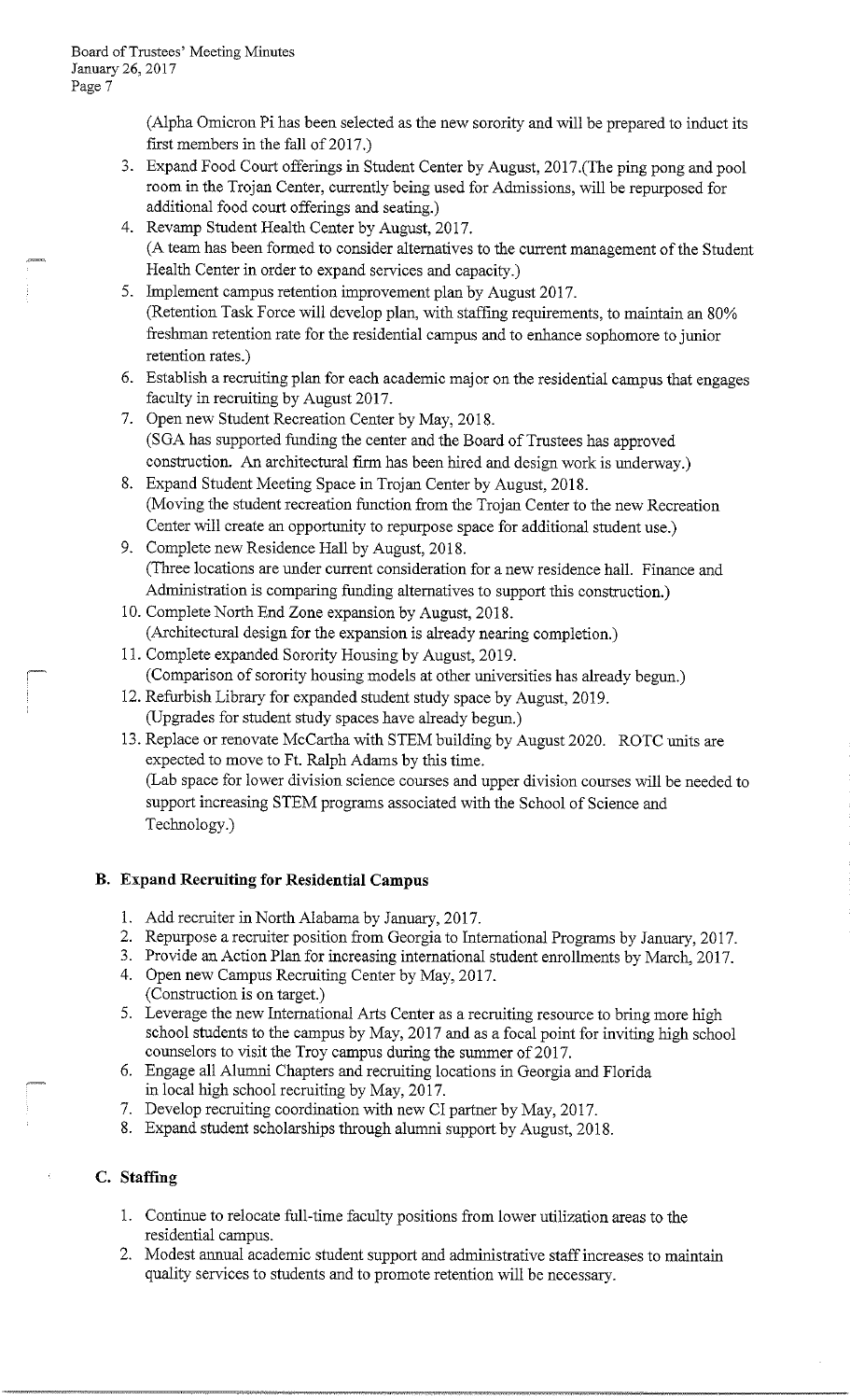(Alpha Omicron Pi has been selected as the new sorority and will be prepared to induct its first members in the fall of 2017.)

- 3. Expand Food Court offerings in Student Center by August, 2017.(The ping pong and pool room in the Trojan Center, currently being used for Admissions, will be repurposed for additional food court offerings and seating.)
- 4. Revamp Student Health Center by August, 2017. (A team has been formed to consider alternatives to the current management of the Student Health Center in order to expand services and capacity.)
- 5. Implement campus retention improvement plan by August 2017. (Retention Task Force will develop plan, with staffing requirements, to maintain an 80% freshman retention rate for the residential campus and to enhance sophomore to junior retention rates.)
- 6. Establish a recruiting plan for each academic major on the residential campus that engages faculty in recruiting by August 2017.
- 7. Open new Student Recreation Center by May, 2018. (SGA has supported funding the center and the Board of Trustees has approved construction. An architectural firm has been hired and design work is underway.)
- 8. Expand Student Meeting Space in Trojan Center by August, 2018. (Moving the student recreation function from the Trojan Center to the new Recreation Center will create an opportunity to repurpose space for additional student use.)

9. Complete new Residence Hall by August, 2018. (Three locations are under current consideration for a new residence hall. Finance and Administration is comparing funding alternatives to support this construction.)

10. Complete North End Zone expansion by August, 2018. (Architectural design for the expansion is already nearing completion.)

- 11. Complete expanded Sorority Housing by August, 2019.<br>  $(Comparison of sorority housing models at other universities has already begun.)$
- 12. Refurbish Library for expanded student study space by August, 2019. (Upgrades for student study spaces have already begun.)
- 13. Replace or renovate McCartha with STEM building by August 2020. ROTC units are expected to move to Ft. Ralph Adams by this time. (Lab space for lower division science courses and upper division courses will be needed to support increasing STEM programs associated with the School of Science and Technology.)

# **B. Expand Recruiting for Residential Campus**

- 1. Add recruiter in North Alabama by January, 2017.
- 2. Repurpose a recruiter position from Georgia to International Programs by January, 2017.
- 3. Provide an Action Plan for increasing international student emollments by March, 2017.
- 4. Open new Campus Recruiting Center by May, 2017. (Construction is on target.)

5. Leverage the new International Arts Center as a recruiting resource to bring more high school students to the campus by May, 2017 and as a focal point for inviting high school counselors to visit the Troy campus during the summer of 2017.

- 6. Engage all Alumni Chapters and recruiting locations in Georgia and Florida in local high school recruiting by May, 2017.
- 7. Develop recruiting coordination with new CI partner by May, 2017.
- 8. Expand student scholarships through alumni support by August, 2018.

# **C. Staffing**

- 1. Continue to relocate full-time faculty positions from lower utilization areas to the residential campus.
- 2. Modest annual academic student support and administrative staff increases to maintain quality services to students and to promote retention will be necessary.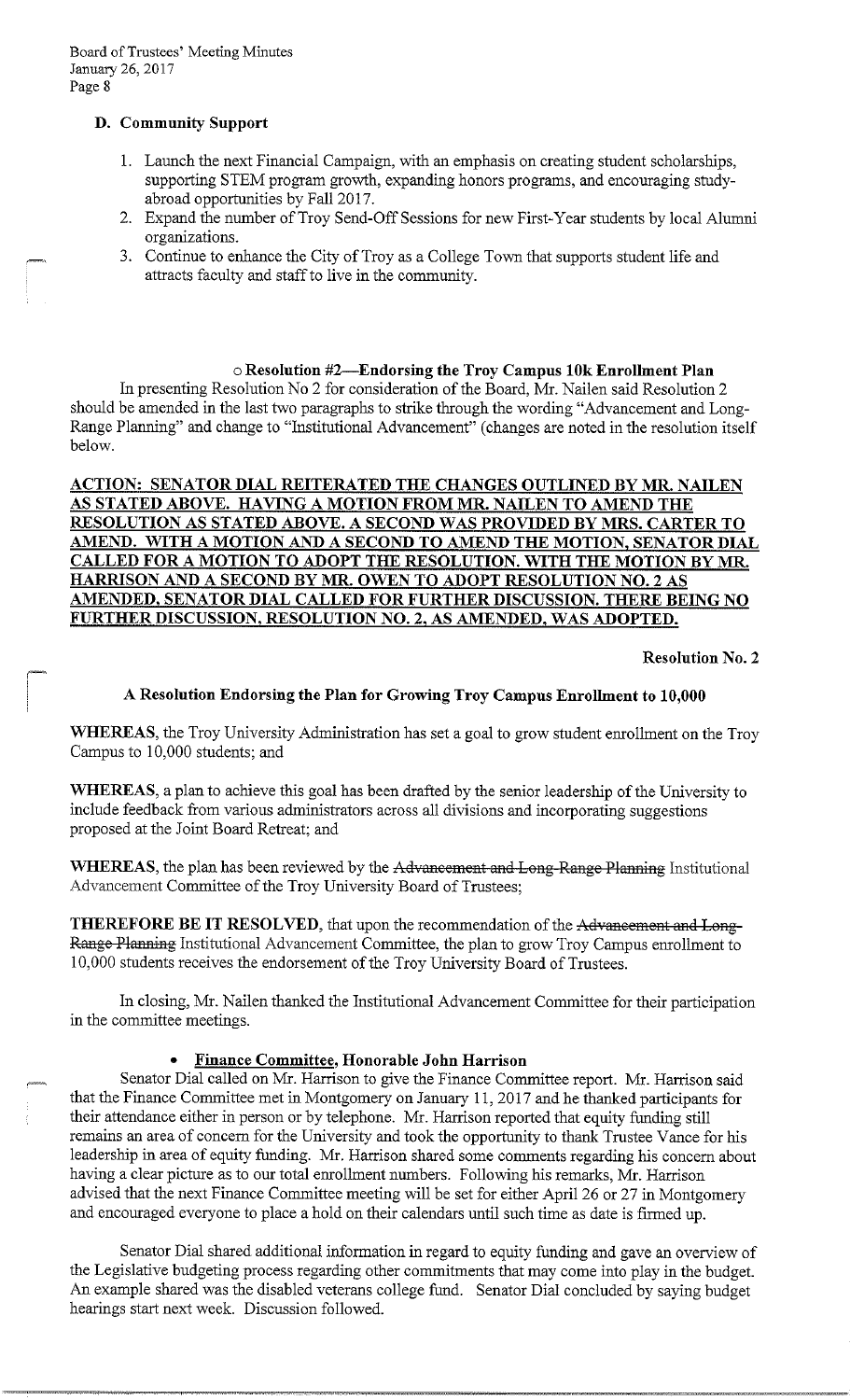# **D. Community Support**

- 1. Launch the next Financial Campaign, with an emphasis on creating student scholarships, supporting STEM program growth, expanding honors programs, and encouraging studyabroad opportunities by Fall 2017.
- 2. Expand the number of Troy Send-Off Sessions for new First-Year students by local Alumni organizations.
- 3. Continue to enhance the City of Troy as a College Town that supports student life and attracts faculty and staff to live in the community.

# o **Resolution #2-Endorsing the Troy Campus 10k Enrollment Plan**

In presenting Resolution No 2 for consideration of the Board, Mr. Nailen said Resolution 2 should be amended in the last two paragraphs to strike through the wording "Advancement and Long-Range Planning" and change to "Institutional Advancement" ( changes are noted in the resolution itself below.

# **ACTION: SENATOR DIAL REITERATED THE CHANGES OUTLINED BY MR NAILEN AS STATED ABOVE. HAVING A MOTION FROM MR. NAILEN TO AMEND THE RESOLUTION AS STATED ABOVE. A SECOND WAS PROVIDED BY MRS. CARTER TO AMEND. WITH A MOTION AND A SECOND TO AMEND THE MOTION, SENATOR DIAL CALLED FOR A MOTION TO ADOPT THE RESOLUTION. WITH THE MOTION BY MR. HARRISON AND A SECOND BY MR. OWEN TO ADOPT RESOLUTION NO. 2 AS AMENDED, SENATOR DIAL CALLED FOR FURTHER DISCUSSION. THERE BEING NO**  FURTHER DISCUSSION, RESOLUTION NO. 2, AS AMENDED, WAS ADOPTED.

**Resolution No. 2** 

# **A Resolution Endorsing the Plan for Growing Troy Campus Enrollment to 10,000**

**WHEREAS,** the Troy University Administration has set a goal to grow student enrollment on the Troy Campus to 10,000 students; and

**WHEREAS,** a plan to achieve this goal has been drafted by the senior leadership of the University to include feedback from various administrators across all divisions and incorporating suggestions proposed at the Joint Board Retreat; and

**WHEREAS, the plan has been reviewed by the Advaneement and Long-Range Planning** Institutional Advancement Committee of the Troy University Board of Trustees;

**THEREFORE BE IT RESOLVED,** that upon the recommendation of the Advaneement and Long-Range Planning Institutional Advancement Committee, the plan to grow Troy Campus enrollment to 10,000 students receives the endorsement of the Troy University Board of Trustees.

In closing, Mr. Nailen thanked the Institutional Advancement Committee for their participation in the committee meetings.

# • **Finance Committee, Honorable John Harrison**

Senator Dial called on Mr. Harrison to give the Finance Committee report. Mr. Harrison said that the Finance Committee met in Montgomery on January 11, 2017 and he thanked participants for their attendance either in person or by telephone. Mr. Harrison reported that equity funding still remains an area of concern for the University and took the opportunity to thank Trustee Vance for his leadership in area of equity funding. Mr. Harrison shared some comments regarding his concern about having a clear picture as to our total enrollment numbers. Following his remarks, Mr. Harrison advised that the next Finance Committee meeting will be set for either April 26 or 27 in Montgomery and encouraged everyone to place a hold on their calendars until such time as date is firmed up.

Senator Dial shared additional information in regard to equity funding and gave an overview of the Legislative budgeting process regarding other conunitments that may come into play in the budget. An example shared was the disabled veterans college fund. Senator Dial concluded by saying budget hearings start next week. Discussion followed.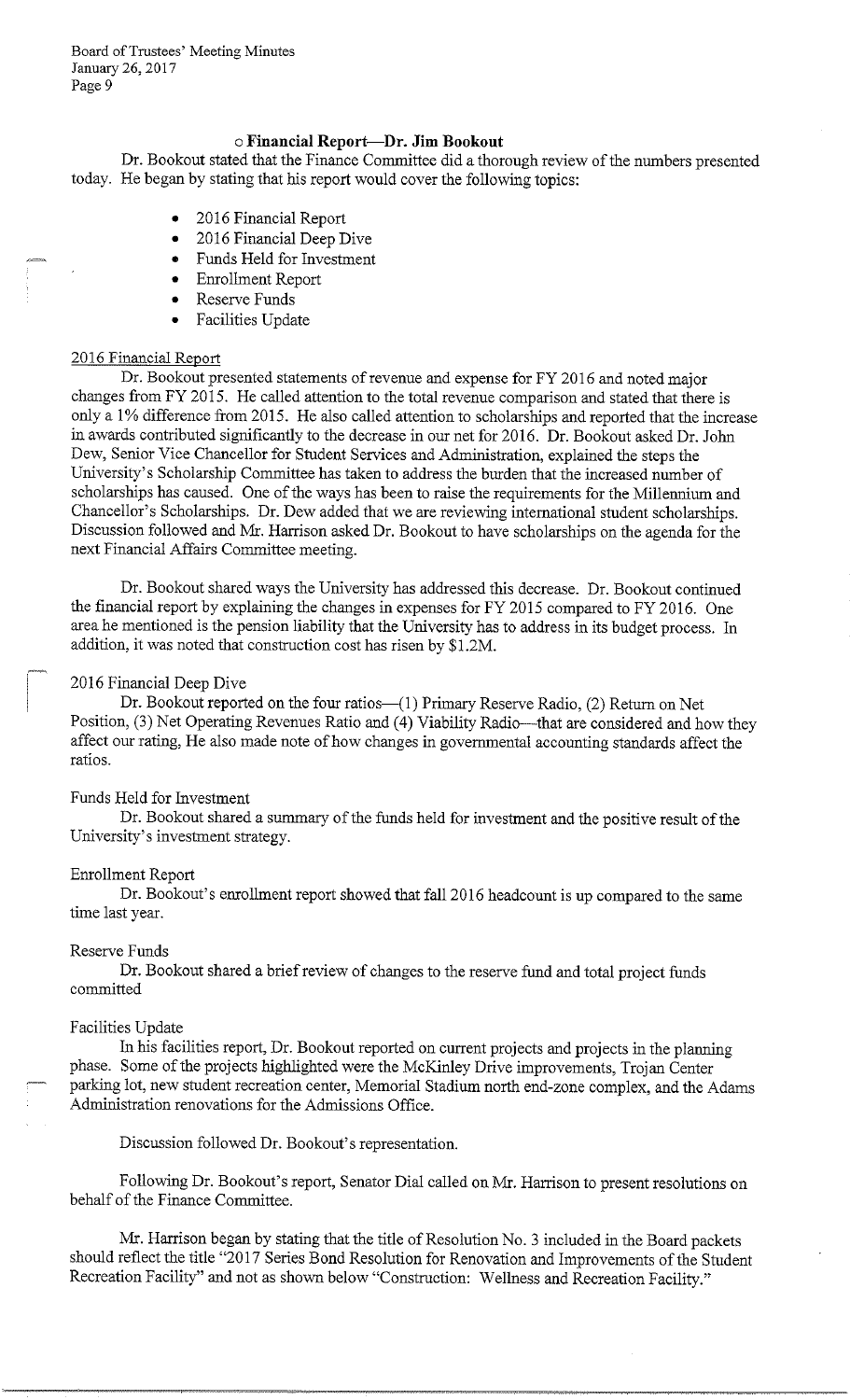# o **Financial Report-Dr. Jim Bookout**

Dr. Bookout stated that the Finance Committee did a thorough review of the numbers presented today. He began by stating that his report would cover the following topics:

- 2016 Financial Report
- 2016 Financial Deep Dive
- Funds Held for Investment
- Enrollment Report
- Reserve Funds
- Facilities Update

#### 2016 Financial Report

Dr. Bookout presented statements of revenue and expense for FY 2016 and noted major changes from FY 2015. He called attention to the total revenue comparison and stated that there is only a 1 % difference from 2015. He also called attention to scholarships and reported that the increase in awards contributed significantly to the decrease in our net for 2016. Dr. Bookout asked Dr. John Dew, Senior Vice Chancellor for Student Services and Administration, explained the steps the University's Scholarship Committee has taken to address the burden that the increased number of scholarships has caused. One of the ways has been to raise the requirements for the Millennium and Chancellor's Scholarships. Dr. Dew added that we are reviewing international student scholarships. Discussion followed and Mr. Harrison asked Dr. Bookout to have scholarships on the agenda for the next Financial Affairs Committee meeting.

Dr. Bookout shared ways the University has addressed this decrease. Dr. Bookout continued the financial report by explaining the changes in expenses for FY 2015 compared to FY 2016. One area he mentioned is the pension liability that the University has to address in its budget process. In addition, it was noted that construction cost has risen by \$1.2M.

#### 2016 Financial Deep Dive

Dr. Bookout reported on the four ratios-(1) Primary Reserve Radio, (2) Return on Net Position, (3) Net Operating Revenues Ratio and (4) Viability Radio—that are considered and how they affect our rating, He also made note of how changes in governmental accounting standards affect the ratios.

#### Funds Held for Investment

Dr. Bookout shared a summary of the funds held for investment and the positive result of the University's investment strategy.

#### Enrollment Report

Dr. Bookout's enrollment report showed that fall 2016 headcount is up compared to the same time last year.

#### Reserve Funds

Dr. Bookout shared a brief review of changes to the reserve fund and total project funds committed

#### Facilities Update

In his facilities report, Dr. Bookout reported on current projects and projects in the planning phase. Some of the projects highlighted were the McKinley Drive improvements, Trojan Center parking lot, new student recreation center, Memorial Stadium north end-zone complex, and the Adams Administration renovations for the Admissions Office.

Discussion followed Dr. Bookout's representation.

Following Dr. Bookout's report, Senator Dial called on Mr. Harrison to present resolutions on behalf of the Finance Committee.

Mr. Harrison began by stating that the title of Resolution No. 3 included in the Board packets should reflect the title "2017 Series Bond Resolution for Renovation and Improvements of the Student Recreation Facility" and not as shown below "Construction: Wellness and Recreation Facility."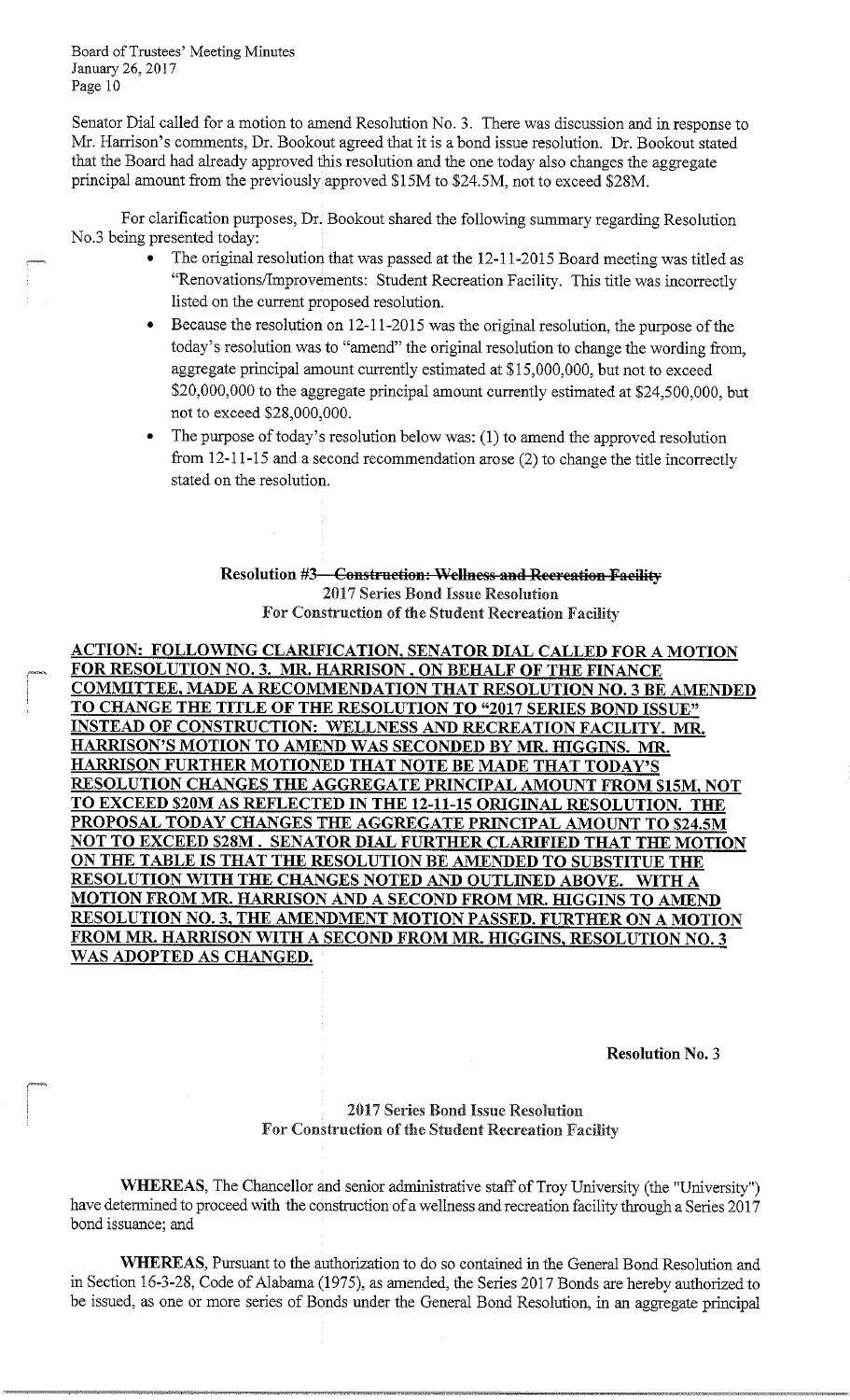Senator Dial called for a motion to amend Resolution No. 3. There was discussion and in response to Mr. Harrison's comments, Dr. Bookout agreed that it is a bond issue resolution. Dr. Bookout stated that the Board had already approved this resolution and the one today also changes the aggregate principal amount from the previously approved \$15M to \$24.5M, not to exceed \$28M.

For clarification purposes, Dr. Bookout shared the following summary regarding Resolution No.3 being presented today:

- The original resolution that was passed at the 12-11-2015 Board meeting was titled as "Renovations/Improvements: Student Recreation Facility. This title was incorrectly listed on the current proposed resolution.
- Because the resolution on 12-11-2015 was the original resolution, the purpose of the today's resolution was to "amend" the original resolution to change the wording from, aggregate principal amount currently estimated at \$15,000,000, but not to exceed \$20,000,000 to the aggregate principal amount currently estimated at \$24,500,000, but not to exceed \$28,000,000.
- The purpose of today's resolution below was: (1) to amend the approved resolution from 12-11-15 and a second recommendation arose (2) to change the title incorrectly stated on the resolution.

**Resolution #3** Construction: Wellness and Recreation Facility 2017 Series Bond Issue Resolution For Construction of the Student Recreation Facility

**ACTION: FOLLOWING CLARIFICATION, SENATOR DIAL CALLED FOR A MOTION**  - **FOR RESOLUTION NO. 3. MR. HARRISON, ON BEHALF OF THE FINANCE COMMITTEE, MADE A RECOMMENDATION THAT RESOLUTION NO. 3 BE AMENDED TO CHANGE THE TITLE OF THE RESOLUTION TO "2017 SERIES BOND ISSUE" INSTEAD OF CONSTRUCTION: WELLNESS AND RECREATION FACILITY. MR. HARRISON'S MOTION TO AMEND WAS SECONDED BY MR. HIGGINS. MR. HARRISON FURTHER MOTIONED THAT NOTE BE MADE THAT TODAY'S RESOLUTION CHANGES THE AGGREGATE PRINCIPAL AMOUNT FROM \$15M, NOT TO EXCEED \$20M AS REFLECTED IN THE 12-11-15 ORIGINAL RESOLUTION. THE PROPOSAL TODAY CHANGES THE AGGREGATE PRINCIPAL AMOUNT TO \$24.SM NOT TO EXCEED \$28M. SENATOR DIAL FURTHER CLARIFIED THAT THE MOTION ON THE TABLE IS THAT THE RESOLUTION BE AMENDED TO SUBSTITUE THE RESOLUTION WITH THE CHANGES NOTED AND OUTLINED ABOVE. WITH A MOTION FROM MR. HARRISON AND A SECOND FROM MR. HIGGINS TO AMEND RESOLUTION NO. 3, THE AMENDMENT MOTION PASSED. FURTHER ON A MOTION FROM MR. HARRISON WITH A SECOND FROM MR. HIGGINS, RESOLUTION NO. 3 WAS ADOPTED AS CHANGED.** 

**Resolution No.** 3

# enterprise and the contract of the 2017 Series Bond Issue Resolution For Construction of the Student Recreation Facility

**WHEREAS,** The Chancellor and senior administrative staff of Troy University (the "University") have determined to proceed with the construction of a wellness and recreation facility through a Series 2017 bond issuance; and

**WHEREAS,** Pursuant to the authorization to do so contained in the General Bond Resolution and in Section 16-3-28, Code of Alabama (1975), as amended, the Series 2017 Bonds are hereby authorized to be issued, as one or more series of Bonds under the General Bond Resolution, in an aggregate principal

-----------------·-··------·-·· \_,\_\_\_\_\_\_\_\_\_\_\_\_ ------·---------------~ -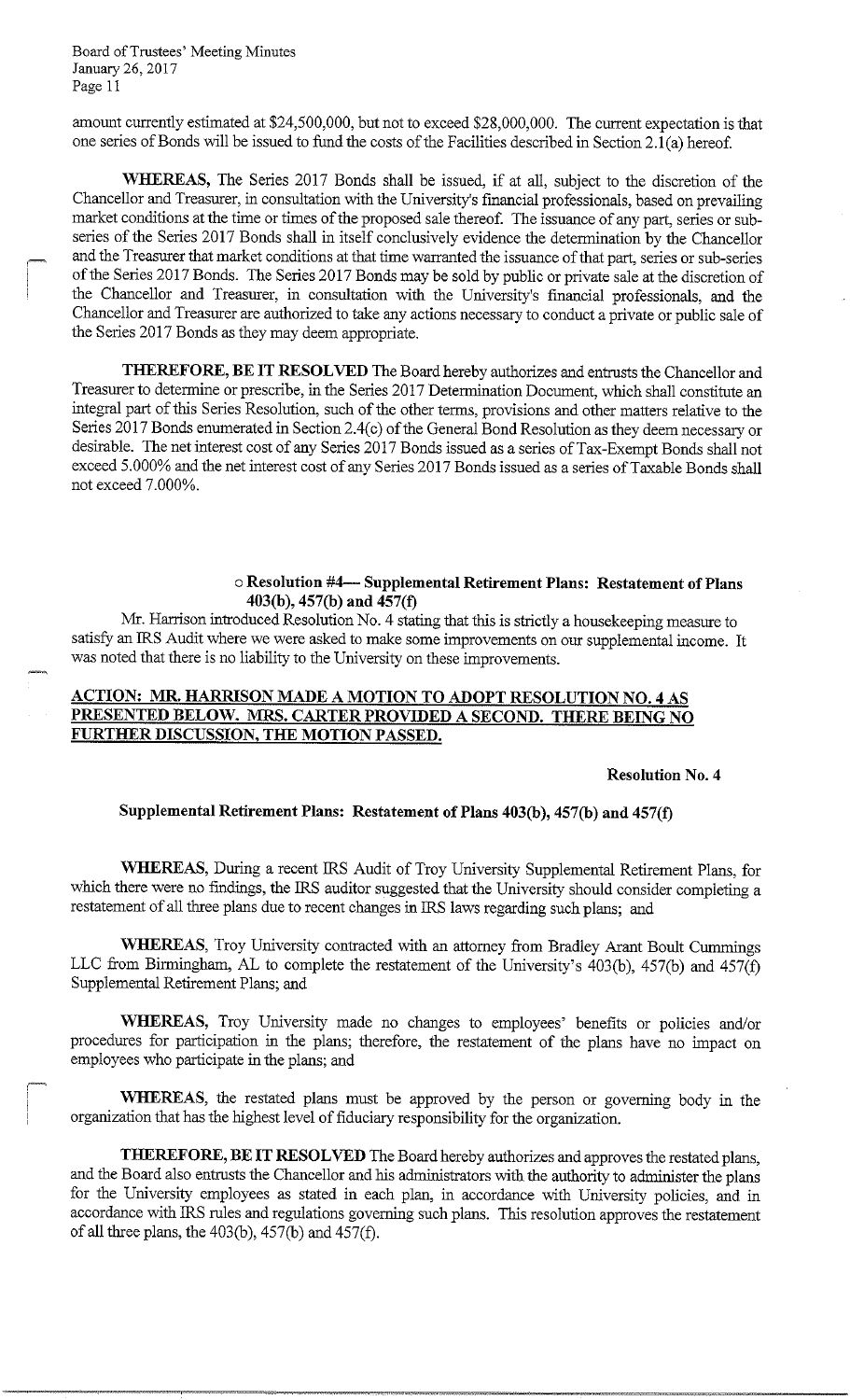~

amount currently estimated at \$24,500,000, but not to exceed \$28,000,000. The current expectation is that one series of Bonds will be issued to fund the costs of the Facilities described in Section 2.l(a) hereof.

**WHEREAS,** The Series 2017 Bonds shall be issued, if at all, subject to the discretion of the Chancellor and Treasurer, in consultation with the University's financial professionals, based on prevailing market conditions at the time or times of the proposed sale thereof. The issuance of any part, series or subseries of the Series 2017 Bonds shall in itself conclusively evidence the determination by the Chancellor and the Treasurer that market conditions at that time warranted the issuance of that part, series or sub-series of the Series 2017 Bonds. The Series 2017 Bonds may be sold by public or private sale at the discretion of the Chancellor and Treasurer, in consultation with the University's financial professionals, and the Chancellor and Treasurer are authorized to take any actions necessary to conduct a private or public sale of the Series 2017 Bonds as they may deem appropriate.

**THEREFORE, BE IT RESOLVED** The Board hereby authorizes and entrusts the Chancellor and Treasurer to determine or prescribe, in the Series 2017 Determination Document, which shall constitute an integral part of this Series Resolution, such of the other terms, provisions and other matters relative to the Series 2017 Bonds enumerated in Section 2.4(c) of the General Bond Resolution as they deem necessary or desirable. The net interest cost of any Series 2017 Bonds issued as a series of Tax-Exempt Bonds shall not exceed 5.000% and the net interest cost of any Series 2017 Bonds issued as a series of Taxable Bonds shall not exceed 7.000%.

#### o **Resolution #4- Supplemental Retirement Plans: Restatement of Plans 403(b ), 457(b) and 457(f)**

Mr. Harrison introduced Resolution No. 4 stating that this is strictly a housekeeping measure to satisfy an IRS Audit where we were asked to make some improvements on our supplemental income. It was noted that there is no liability to the University on these improvements.

# **ACTION: MR. HARRISON MADE A MOTION TO ADOPT RESOLUTION NO. 4 AS PRESENTED BELOW. MRS. CARTER PROVIDED A SECOND. THERE BEING NO FJlRTHER DISCUSSION, THE MOTION PASSED.**

#### **Resolution No. 4**

#### **Supplemental Retirement Plans: Restatement of Plans 403(b ), 457(b) and 457(f)**

**WHEREAS,** During a recent IRS Audit of Troy University Supplemental Retirement Plans, for which there were no findings, the IRS auditor suggested that the University should consider completing a restatement of all three plans due to recent changes in IRS laws regarding such plans; and

**WHEREAS,** Troy University contracted with an attorney from Bradley Arant Boult Cummings LLC from Birmingham, AL to complete the restatement of the University's  $403(b)$ ,  $457(b)$  and  $457(f)$ Supplemental Retirement Plans; and

**WHEREAS,** Troy University made no changes to employees' benefits or policies and/or procedures for participation in the plans; therefore, the restatement of the plans have no impact on employees who participate in the plans; and

**WHEREAS,** the restated plans must be approved by the person or governing body in the organization that has the highest level of fiduciary responsibility for the organization.

**THEREFORE, BE IT RESOLVED** The Board hereby authorizes and approves the restated plans, and the Board also entrusts the Chancellor and his administrators with the authority to administer the plans for the University employees as stated in each plan, in accordance with University policies, and in accordance with IRS rules and regulations governing such plans. This resolution approves the restatement of all three plans, the  $403(b)$ ,  $457(b)$  and  $457(f)$ .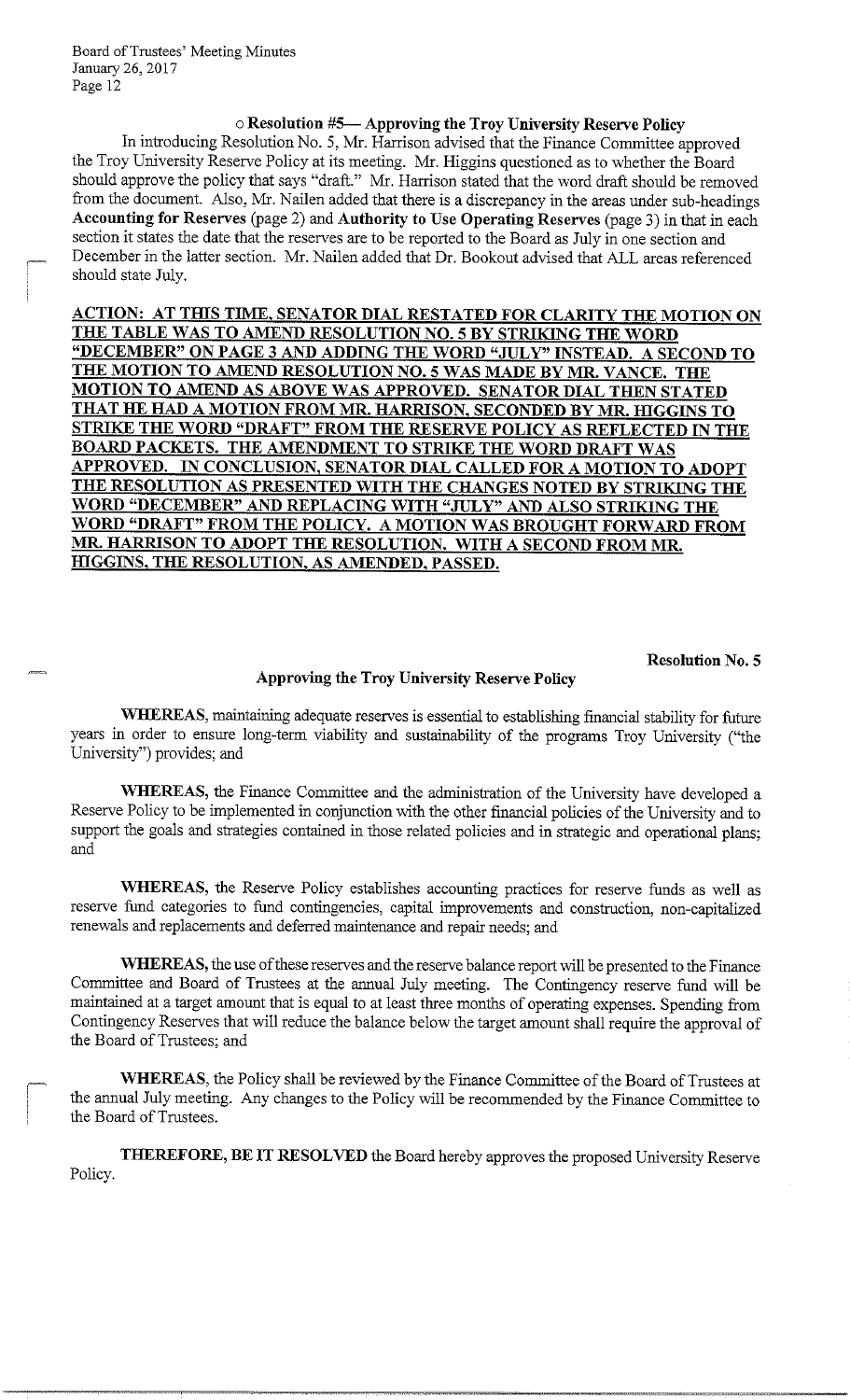# o **Resolution #5-Approving the Troy University Reserve Policy**

In introducing Resolution No. 5, Mr. Harrison advised that the Finance Committee approved the Troy University Reserve Policy at its meeting. Mr. Higgins questioned as to whether the Board should approve the policy that says "draft." Mr. Harrison stated that the word draft should be removed from the document. Also, Mr. Nailen added that there is a discrepancy in the areas under sub-headings **Accounting for Reserves** (page 2) and **Authority to Use Operating Reserves** (page 3) in that in each section it states the date that the reserves are to be reported to the Board as July in one section and December in the latter section. Mr. Nailen added that Dr. Bookout advised that ALL areas referenced should state July.

**ACTION: AT THIS TIME, SENATOR DIAL RESTATED FOR CLARITY THE MOTION ON THE TABLE WAS TO AMEND RESOLUTION NO. 5 BY STRIKING THE WORD "DECEMBER" ON PAGE 3 AND ADDING THE WORD "JULY" INSTEAD. A SECOND TO THE MOTION TO AMEND RESOLUTION NO. 5 WAS MADE BY MR. VANCE. THE MOTION TO AMEND AS ABOVE WAS APPROVED. SENATOR DIAL THEN STATED THAT HE HAD A MOTION FROM MR. HARRISON, SECONDED BY MR. HIGGINS TO STRIKE THE WORD "DRAFT" FROM THE RESERVE POLICY AS REFLECTED IN THE BOARD PACKETS. THE AMENDMENT TO STRIKE THE WORD DRAFT WAS APPROVED. IN CONCLUSION, SENATOR DIAL CALLED FOR A MOTION TO ADOPT THE RESOLUTION AS PRESENTED WITH THE CHANGES NOTED BY STRIKING THE WORD "DECEMBER" AND REPLACING WITH "JULY" AND ALSO STRIKING THE WORD "DRAFT" FROM THE POLICY. A MOTION WAS BROUGHT FORWARD FROM MR. HARRISON TO ADOPT THE RESOLUTION. WITH A SECOND FROM MR. HIGGINS, THE RESOLUTION, AS AMENDED, PASSED.** 

**Resolution No. 5** 

# **Approving the Troy University Reserve Policy**

**WHEREAS,** maintaining adequate reserves is essential to establishing financial stability for future years in order to ensure long-term viability and sustainability of the programs Troy University ("the University") provides; and

WHEREAS, the Finance Committee and the administration of the University have developed a Reserve Policy to be implemented in conjunction with the other financial policies of the University and to support the goals and strategies contained in those related policies and in strategic and operational plans; and

**WHEREAS,** the Reserve Policy establishes accounting practices for reserve funds as well as reserve fund categories to fund contingencies, capital improvements and construction, non-capitalized renewals and replacements and deferred maintenance and repair needs; and

**WHEREAS,** the use of these reserves and the reserve balance report will be presented to the Finance Committee and Board of Trustees at the annual July meeting. The Contingency reserve fund will be maintained at a target amount that is equal to at least three months of operating expenses. Spending from Contingency Reserves that will reduce the balance below the target amount shall require the approval of the Board of Trustees; and

**WHEREAS,** the Policy shall be reviewed by the Finance Committee of the Board of Trustees at the annual July meeting. Any changes to the Policy will be recommended by the Finance Committee to the Board of Trustees.

**THEREFORE, BE IT RESOLVED** the Board hereby approves the proposed University Reserve Policy.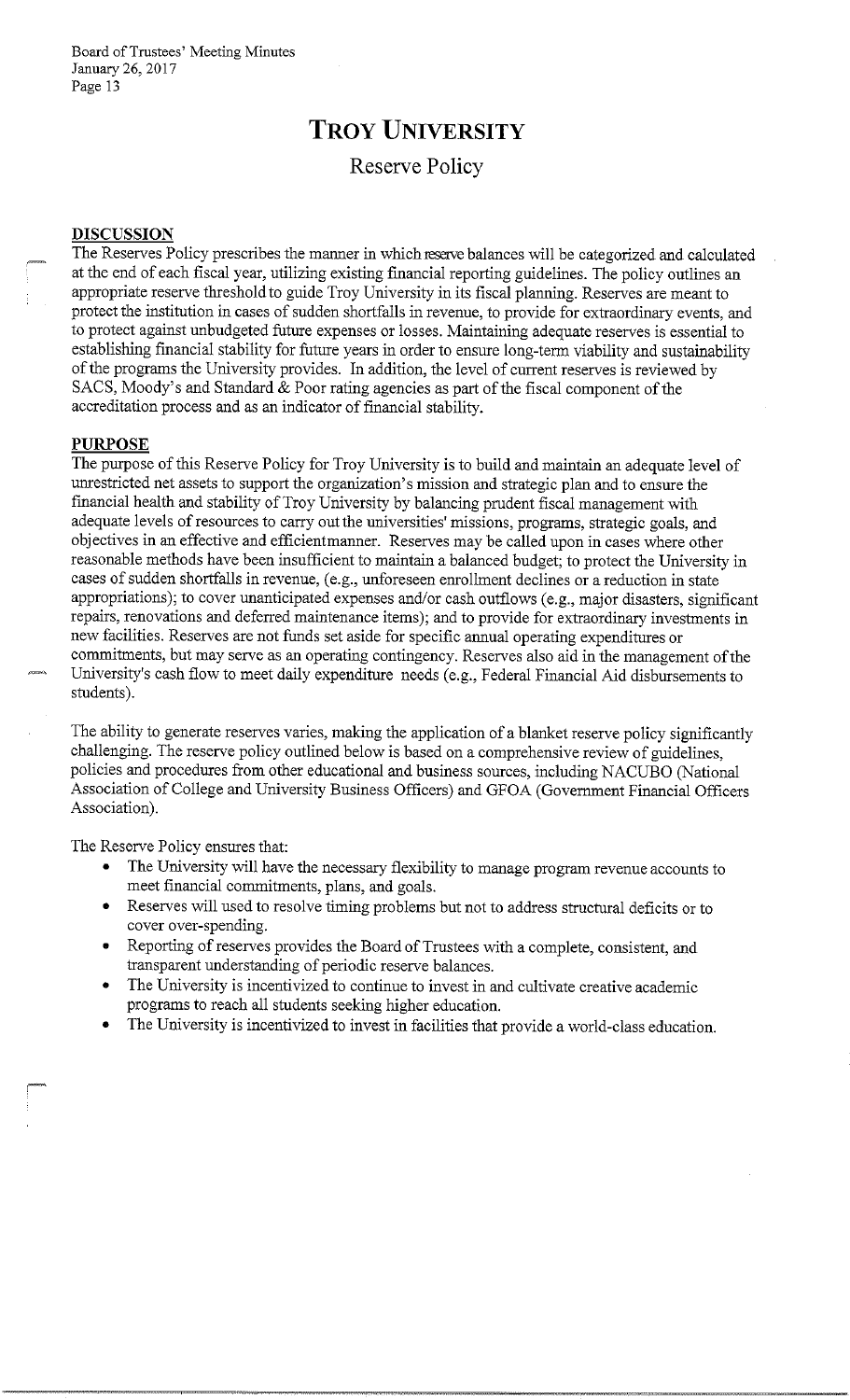# **TROY UNIVERSITY**

# Reserve **Policy**

# **DISCUSSION**

The Reserves Policy prescribes the manner in which resetve balances will be categorized and calculated at the end of each fiscal year, utilizing existing financial reporting guidelines. The policy outlines an appropriate reserve threshold to guide Troy University in its fiscal planning. Reserves are meant to protect the institution in cases of sudden shortfalls in revenue, to provide for extraordinary events, and to protect against unbudgeted future expenses or losses. Maintaining adequate reserves is essential to establishing financial stability for future years in order to ensure long-term viability and sustainability of the programs the University provides. In addition, the level of current reserves is reviewed by SACS, Moody's and Standard & Poor rating agencies as part of the fiscal component of the accreditation process and as an indicator of financial stability.

#### **PURPOSE**

The purpose of this Reserve Policy for Troy University is to build and maintain an adequate level of unrestricted net assets to support the organization's mission and strategic plan and to ensure the financial health and stability of Troy University by balancing prudent fiscal management with adequate levels of resources to carry out the universities' missions, programs, strategic goals, and objectives in an effective and efficientmanner. Reserves may be called upon in cases where other reasonable methods have been insufficient to maintain a balanced budget; to protect the University in cases of sudden shortfalls in revenue, (e.g., unforeseen enrollment declines or a reduction in state appropriations); to cover unanticipated expenses and/or cash outflows (e.g., major disasters, significant repairs, renovations and deferred maintenance items); and to provide for extraordinary investments in new facilities. Reserves are not funds set aside for specific annual operating expenditures or commitments, but may serve as an operating contingency. Reserves also aid in the management of the University's cash flow to meet daily expenditure needs (e.g., Federal Financial Aid disbursements to students).

The ability to generate reserves varies, making the application of a blanket reserve policy significantly challenging. The reserve policy outlined below is based on a comprehensive review of guidelines, policies and procedures from other educational and business sources, including NACUBO (National Association of College and University Business Officers) and GFOA (Government Financial Officers Association).

The Reserve Policy ensures that:

- The University will have the necessary flexibility to manage program revenue accounts to meet financial commitments, plans, and goals.
- Reserves will used to resolve timing problems but not to address structural deficits or to cover over-spending.
- Reporting of reserves provides the Board of Trustees with a complete, consistent, and transparent understanding of periodic reserve balances.
- The University is incentivized to continue to invest in and cultivate creative academic programs to reach all students seeking higher education.
- The University is incentivized to invest in facilities that provide a world-class education.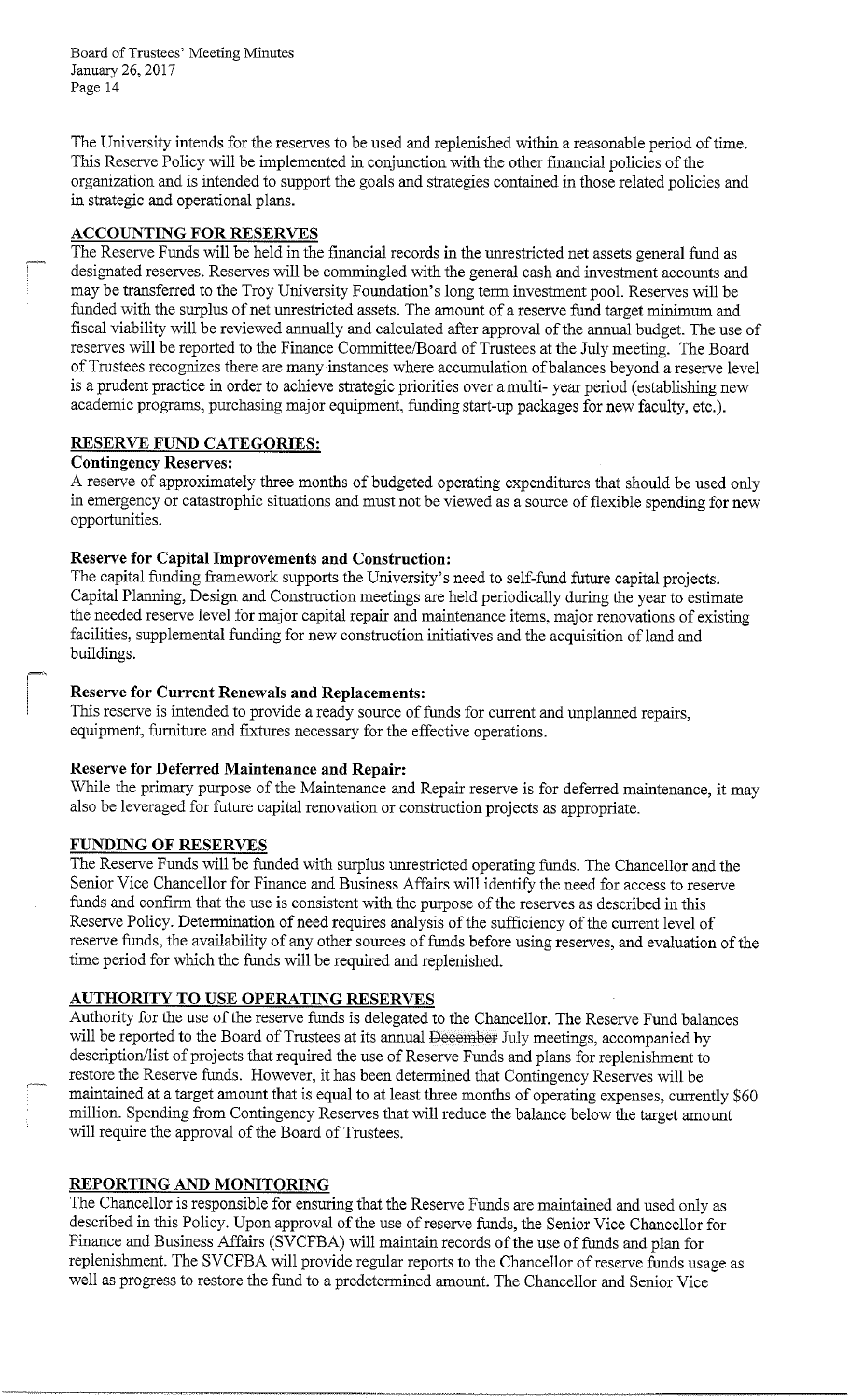The University intends for the reserves to be used and replenished within a reasonable period of time. This Reserve Policy will be implemented in conjunction with the other financial policies of the organization and is intended to support the goals and strategies contained in those related policies and in strategic and operational plans.

# **ACCOUNTING FOR RESERVES**

The Reserve Funds will be held in the financial records in the unrestricted net assets general fund as designated reserves. Reserves will be commingled with the general cash and investment accounts and may be transferred to the Troy University Foundation's long term investment pool. Reserves will be funded with the surplus of net unrestricted assets. The amount of a reserve fund target minimum and fiscal viability will be reviewed annually and calculated after approval of the annual budget. The use of reserves will be reported to the Finance Committee/Board of Trustees at the July meeting. The Board of Trustees recognizes there are many instances where accumulation of balances beyond a reserve level is a prudent practice in order to achieve strategic priorities over a multi- year period ( establishing new academic programs, purchasing major equipment, funding start-up packages for new faculty, etc.).

# **RESERVE FUND CATEGORIES:**

# **Contingency Reserves:**

A reserve of approximately three months of budgeted operating expenditures that should be used only in emergency or catastrophic situations and must not be viewed as a source of flexible spending for new opportunities.

# **Reserve for Capital Improvements and Construction:**

The capital funding framework supports the University's need to self-fund future capital projects. Capital Planning, Design and Construction meetings are held periodically during the year to estimate the needed reserve level for major capital repair and maintenance items, major renovations of existing facilities, supplemental funding for new construction initiatives and the acquisition of land and buildings.

# **Reserve for Current Renewals and Replacements:**

This reserve is intended to provide a ready source of funds for current and unplanned repairs, equipment, furniture and fixtures necessary for the effective operations.

# **Reserve for Deferred Maintenance and Repair:**

While the primary purpose of the Maintenance and Repair reserve is for deferred maintenance, it may also be leveraged for future capital renovation or construction projects as appropriate.

# **FUNDING OF RESERVES**

The Reserve Funds will be funded with surplus unrestricted operating funds. The Chancellor and the Senior Vice Chancellor for Finance and Business Affairs will identify the need for access to reserve funds and confirm that the use is consistent with the purpose of the reserves as described in this Reserve Policy. Determination of need requires analysis of the sufficiency of the current level of reserve funds, the availability of any other sources of funds before using reserves, and evaluation of the time period for which the funds will be required and replenished.

# **AUTHORITY TO USE OPERATING RESERVES**

Authority for the use of the reserve funds is delegated to the Chancellor. The Reserve Fund balances will be reported to the Board of Trustees at its annual December July meetings, accompanied by description/list of projects that required the use of Reserve Funds and plans for replenishment to restore the Reserve funds. However, it has been determined that Contingency Reserves will be maintained at a target amount that is equal to at least three months of operating expenses, currently \$60 million. Spending from Contingency Reserves that will reduce the balance below the target amount will require the approval of the Board of Trustees.

# **REPORTING AND MONITORING**

The Chancellor is responsible for ensuring that the Reserve Funds are maintained and used only as described in this Policy. Upon approval of the use ofreserve funds, the Senior Vice Chancellor for Finance and Business Affairs (SVCFBA) will maintain records of the use of funds and plan for replenishment. The SVCFBA will provide regular reports to the Chancellor ofreserve funds usage as well as progress to restore the fund to a predetermined amount. The Chancellor and Senior Vice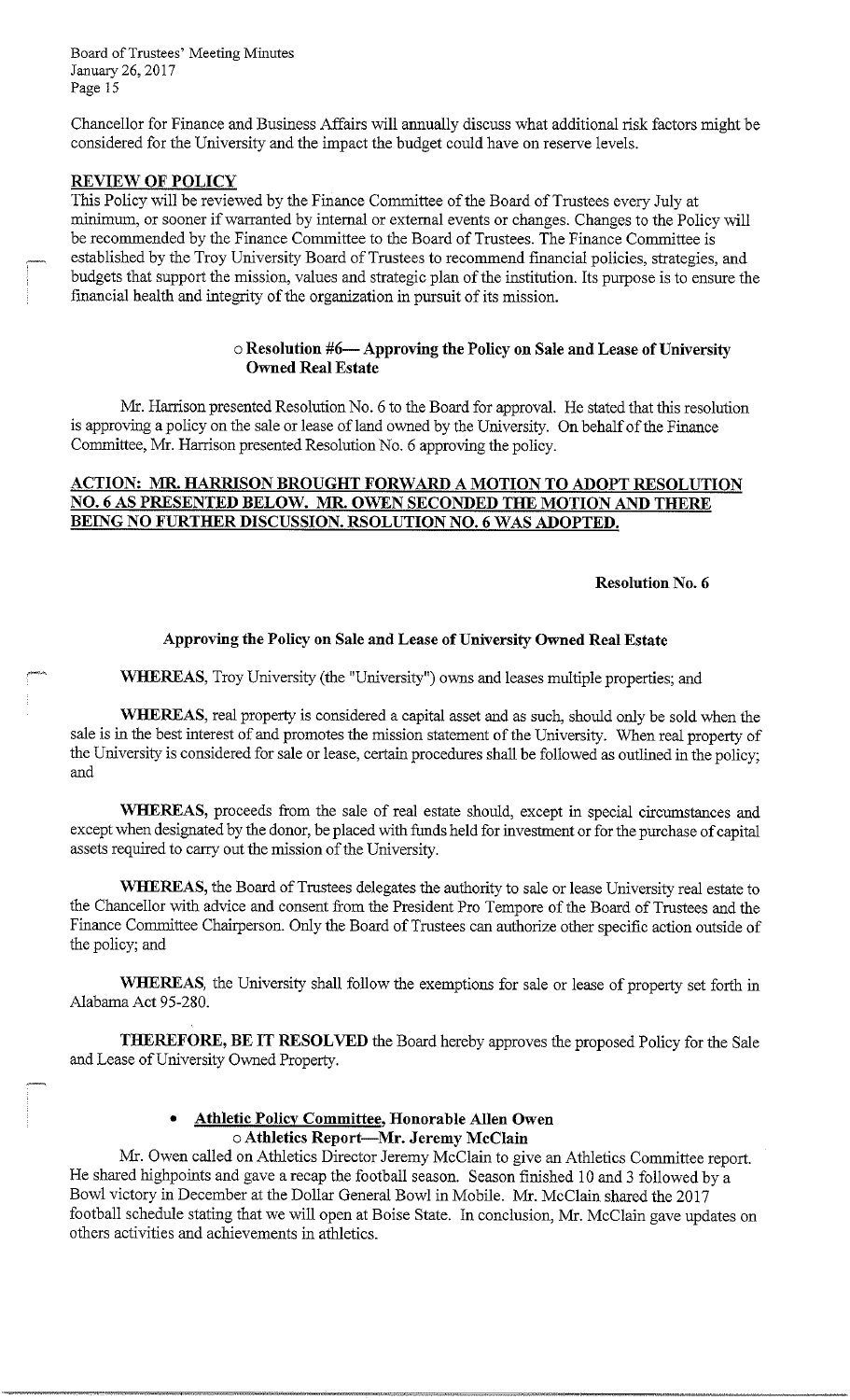Chancellor for Finance and Business Affairs will annually discuss what additional risk factors might be considered for the University and the impact the budget could have on reserve levels.

#### **REVIEW OF POLICY**

This Policy will be reviewed by the Finance Committee of the Board of Trustees every July at minimum, or sooner if warranted by internal or external events or changes. Changes to the Policy will be recommended by the Finance Committee to the Board of Trustees. The Finance Committee is established by the Troy University Board of Trustees to recommend financial policies, strategies, and budgets that support the mission, values and strategic plan of the institution. Its purpose is to ensure the financial health and integrity of the organization in pursuit of its mission.

# o **Resolution #6-Approving the Policy on Sale and Lease of University Owned Real Estate**

Mr. Harrison presented Resolution No. 6 to the Board for approval. He stated that this resolution is approving a policy on the sale or lease of land owned by the University. On behalf of the Finance Committee, Mr. Harrison presented Resolution No. 6 approving the policy.

# **ACTION: MR. HARRISON BROUGHT FORWARD A MOTION TO ADOPT RESOLUTION NO. 6 AS PRESENTED BELOW. MR. OWEN SECONDED THE MOTION AND THERE**  BEING NO FURTHER DISCUSSION. RSOLUTION NO. 6 WAS ADOPTED.

**Resolution No. 6** 

#### **Approving the Policy on Sale and Lease of University Owned Real Estate**

**WHEREAS,** Troy University (the "University") owns and leases multiple properties; and

**WHEREAS,** real property is considered a capital asset and as such, should only be sold when the sale is in the best interest of and promotes the mission statement of the University. When real property of the University is considered for sale or lease, certain procedures shall be followed as outlined in the policy; and

**WHEREAS,** proceeds from the sale of real estate should, except in special circumstances and except when designated by the donor, be placed with funds held for investment or for the purchase of capital assets required to carry out the mission of the University.

**WHEREAS,** the Board of Trustees delegates the authority to sale or lease University real estate to the Chancellor with advice and consent from the President Pro Tempore of the Board of Trustees and the Finance Committee Chairperson. Only the Board of Trustees can authorize other specific action outside of the policy; and

**WHEREAS,** the University shall follow the exemptions for sale or lease of property set forth in Alabama Act 95-280.

**THEREFORE, BE IT RESOLVED** the Board hereby approves the proposed Policy for the Sale and Lease of University Owned Property.

# • **Athletic Policy Committee, Honorable Allen Owen**  o **Athletics Report-Mr. Jeremy McClain**

Mr. Owen called on Athletics Director Jeremy McClain to give an Athletics Committee report. He shared highpoints and gave a recap the football season. Season finished 10 and 3 followed by a Bowl victory in December at the Dollar General Bowl in Mobile. Mr. McClain shared the 2017 football schedule stating that we will open at Boise State. In conclusion, Mr. McClain gave updates on others activities and achievements in athletics.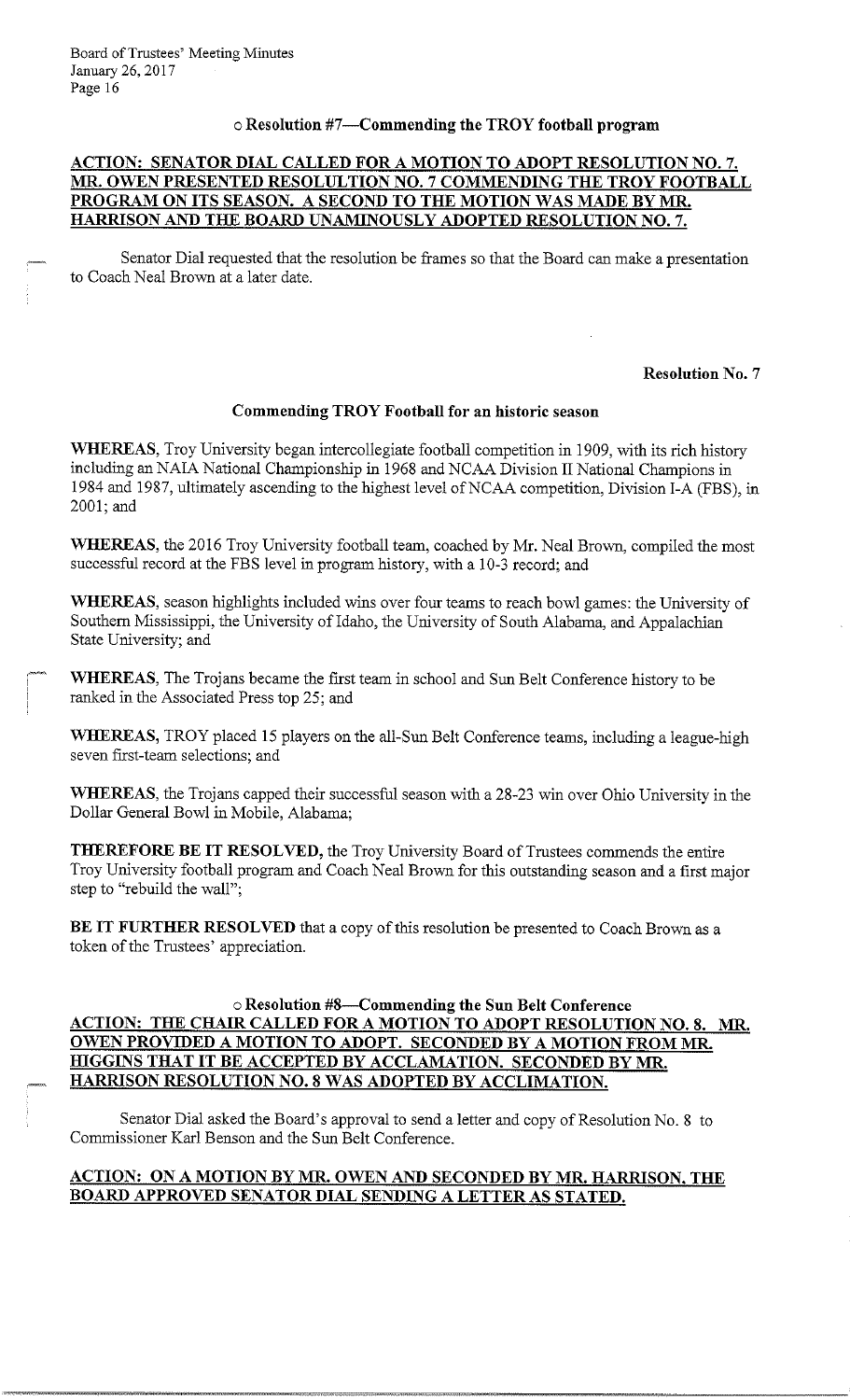# o **Resolution #7-Commending the TROY football program**

# **ACTION: SENATOR DIAL CALLED FOR A MOTION TO ADOPT RESOLUTION NO. 7. MR. OWEN PRESENTED RESOLULTION NO. 7 COMMENDING THE TROY FOOTBALL PROGRAM ON ITS SEASON. A SECOND TO THE MOTION WAS MADE BY MR HARRISON AND THE BOARD UNAMINOUSLY ADOPTED RESOLUTION NO.** 7.

Senator Dial requested that the resolution be frames so that the Board can make a presentation to Coach Neal Brown at a later date.

#### **Resolution No. 7**

#### **Commending TROY Football for an historic season**

**WHEREAS,** Troy University began intercollegiate football competition in 1909, with its rich history including an NAIA National Championship in 1968 and NCAA Division II National Champions in 1984 and 1987, ultimately ascending to the highest level ofNCAA competition, Division I-A (FBS), in 2001;and

**WHEREAS,** the 2016 Troy University football team, coached by Mr. Neal Brown, compiled the most successful record at the FBS level in program history, with a 10-3 record; and

**WHEREAS,** season highlights included wins over four teams to reach bowl games: the University of Southern Mississippi, the University of Idaho, the University of South Alabama, and Appalachian State University; and

WHEREAS, The Trojans became the first team in school and Sun Belt Conference history to be ranked in the Associated Press top 25; and

**WHEREAS,** TROY placed 15 players on the all-Sun Belt Conference teams, including a league-high seven first-team selections; and

**WHEREAS,** the Trojans capped their successful season with a 28-23 win over Ohio University in the Dollar General Bowl in Mobile, Alabama;

**THEREFORE BE IT RESOLVED,** the Troy University Board of Trustees commends the entire Troy University football program and Coach Neal Brown for this outstanding season and a first major step to "rebuild the wall";

**BE IT FURTHER RESOLVED** that a copy of this resolution be presented to Coach Brown as a token of the Trustees' appreciation.

# o **Resolution #8-Commending the Sun Belt Conference ACTION: THE CHAIR CALLED FOR A MOTION TO ADOPT RESOLUTION NO. 8. MR. OWEN PROVIDED A MOTION TO ADOPT. SECONDED BY A MOTION FROM MR HIGGINS THAT IT BE ACCEPTED BY ACCLAMATION. SECONDED BY MR. HARRISON RESOLUTION NO. 8 WAS ADOPTED BY ACCLIMATION.**

Senator Dial asked the Board's approval to send a letter and copy of Resolution No. 8 to Commissioner Karl Benson and the Sun Belt Conference.

# **ACTION: ON A MOTION BY MR OWEN AND SECONDED BY MR HARRISON, THE BOARD APPROVED SENATOR DIAL SENDING A LETTER ASSTATED.**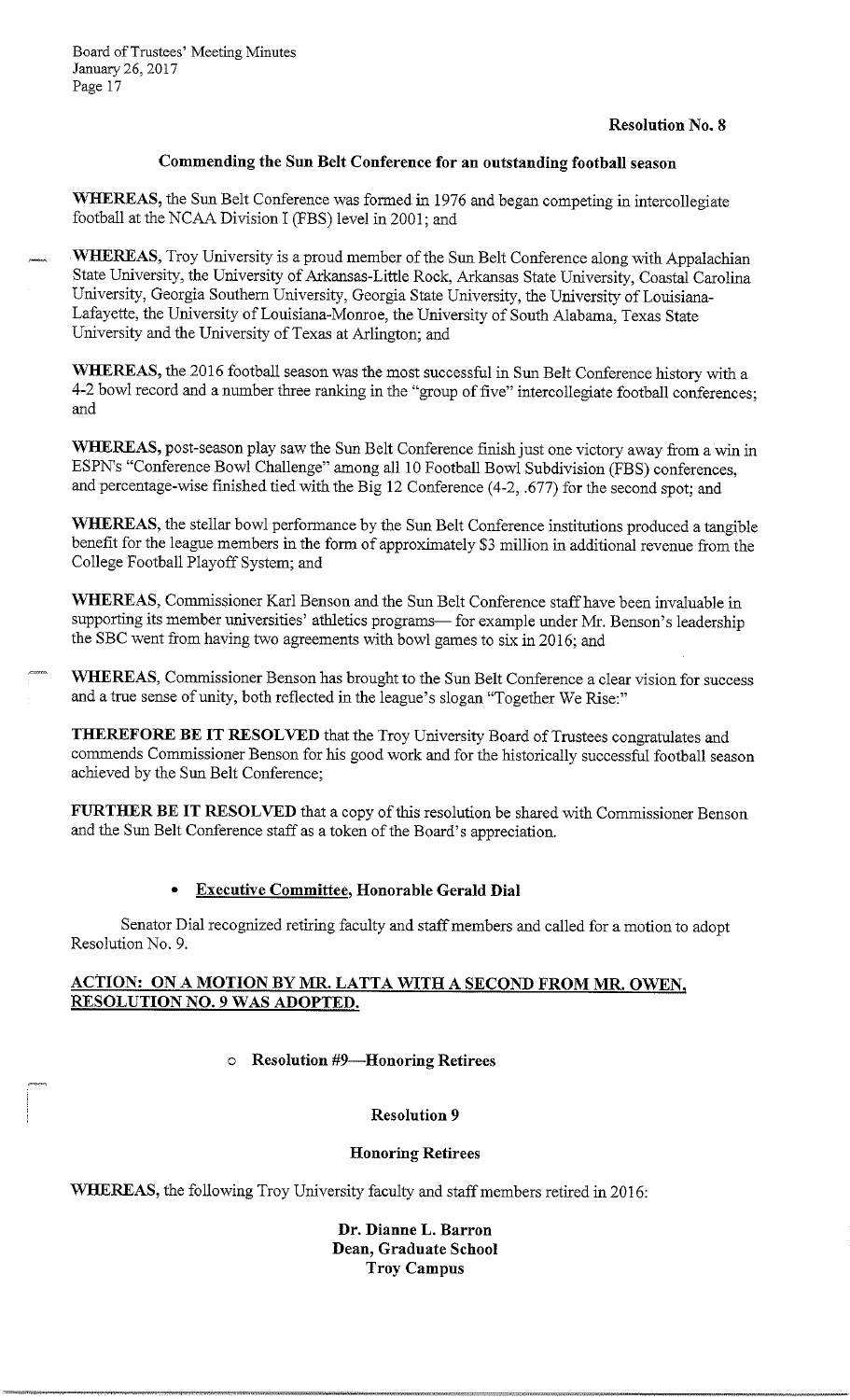# **Resolution No. 8**

# **Commending the Sun Belt Conference for an outstanding football season**

**WHEREAS,** the Sun Belt Conference was formed in 1976 and began competing in intercollegiate football at the NCAA Division I (PBS) level in 2001; and

**WHEREAS,** Troy University is a proud member of the Sun Belt Conference along with Appalachian State University, the University of Arkansas-Little Rock, Arkansas State University, Coastal Carolina University, Georgia Southern University, Georgia State University, the University of Louisiana-Lafayette, the University of Louisiana-Monroe, the University of South Alabama, Texas State University and the University of Texas at Arlington; and

**WHEREAS,** the 2016 football season was the most successful in Sun Belt Conference history with a 4-2 bowl record and a number three ranking in the "group of five" intercollegiate football conferences; and

**WHEREAS,** post-season play saw the Sun Belt Conference finish just one victory away from a win in ESPN's "Conference Bowl Challenge" among all 10 Football Bowl Subdivision (PBS) conferences, and percentage-wise finished tied with the Big 12 Conference (4-2, .677) for the second spot; and

**WHEREAS,** the stellar bowl performance by the Sun Belt Conference institutions produced a tangible benefit for the league members in the form of approximately \$3 million in additional revenue from the College Football Playoff System; and

**WHEREAS,** Commissioner Karl Benson and the Sun Belt Conference staff have been invaluable in supporting its member universities' athletics programs— for example under Mr. Benson's leadership the SBC went from having two agreements with bowl games to six in 2016; and

**WHEREAS,** Commissioner Benson has brought to the Sun Belt Conference a clear vision for success and a true sense of unity, both reflected in the league's slogan "Together We Rise:"

**THEREFORE BE IT RESOLVED** that the Troy University Board of Trustees congratulates and commends Commissioner Benson for his good work and for the historically successful football season achieved by the Sun Belt Conference;

**FURTHER BE IT RESOLVED** that a copy of this resolution be shared with Commissioner Benson and the Sun Belt Conference staff as a token of the Board's appreciation.

# **Executive Committee, Honorable Gerald Dial**

Senator Dial recognized retiring faculty and staff members and called for a motion to adopt Resolution No. 9.

# **ACTION: ON A MOTION BY MR. LATTA WITH A SECOND FROM MR. OWEN, RESOLUTION NQ. 9 WAS ADOPTED.**

# o **Resolution #9-Honoring Retirees**

**Resolution 9** 

# **Honoring Retirees**

**WHEREAS,** the following Troy University faculty and staff members retired in 2016:

**Dr. Dianne L. Barron Dean, Graduate School Troy Campus**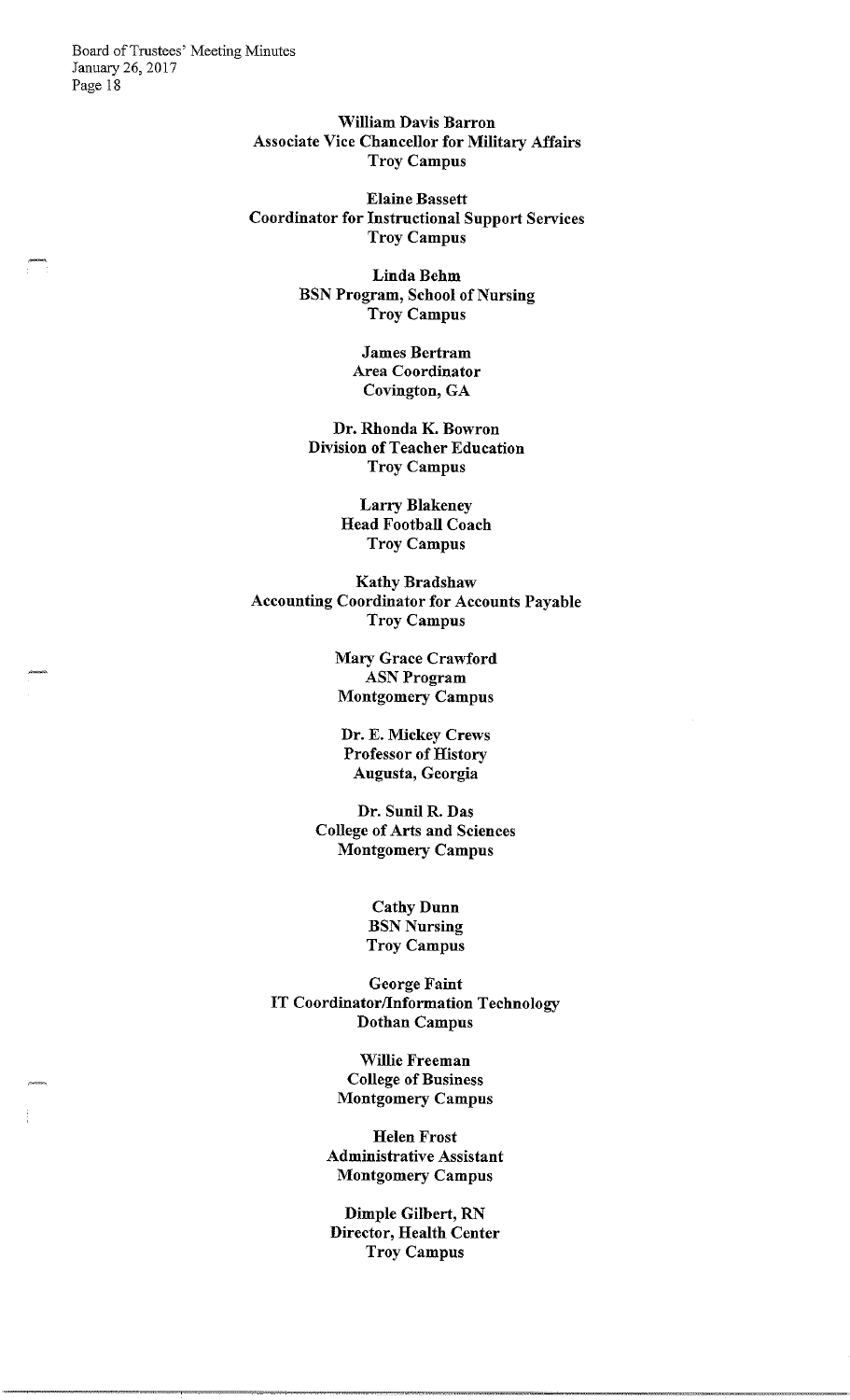William Davis Barron Associate Vice Chancellor for Military Affairs Troy Campus

Elaine Bassett Coordinator for Instructional Support Services Troy Campus

> Linda Behm BSN Program, School of Nursing Troy Campus

> > James Bertram Area Coordinator Covington, GA

Dr. Rhonda K. Bowron Division of Teacher Education Troy Campus

> Larry Blakeney Head Football Coach Troy Campus

Kathy Bradshaw Accounting Coordinator for Accounts Payable Troy Campus

> Mary Grace Crawford ASNProgram Montgomery Campus

Dr. E. Mickey Crews Professor of History Augusta, Georgia

Dr. Sunil R. Das College of Arts and Sciences Montgomery Campus

> Cathy Dunn **BSN Nursing** Troy Campus

George Faint IT Coordinator/Information Technology Dothan Campus

> Willie Freeman College of Business Montgomery Campus

Helen Frost Administrative Assistant Montgomery Campus

Dimple Gilbert, RN Director, Health Center Troy Campus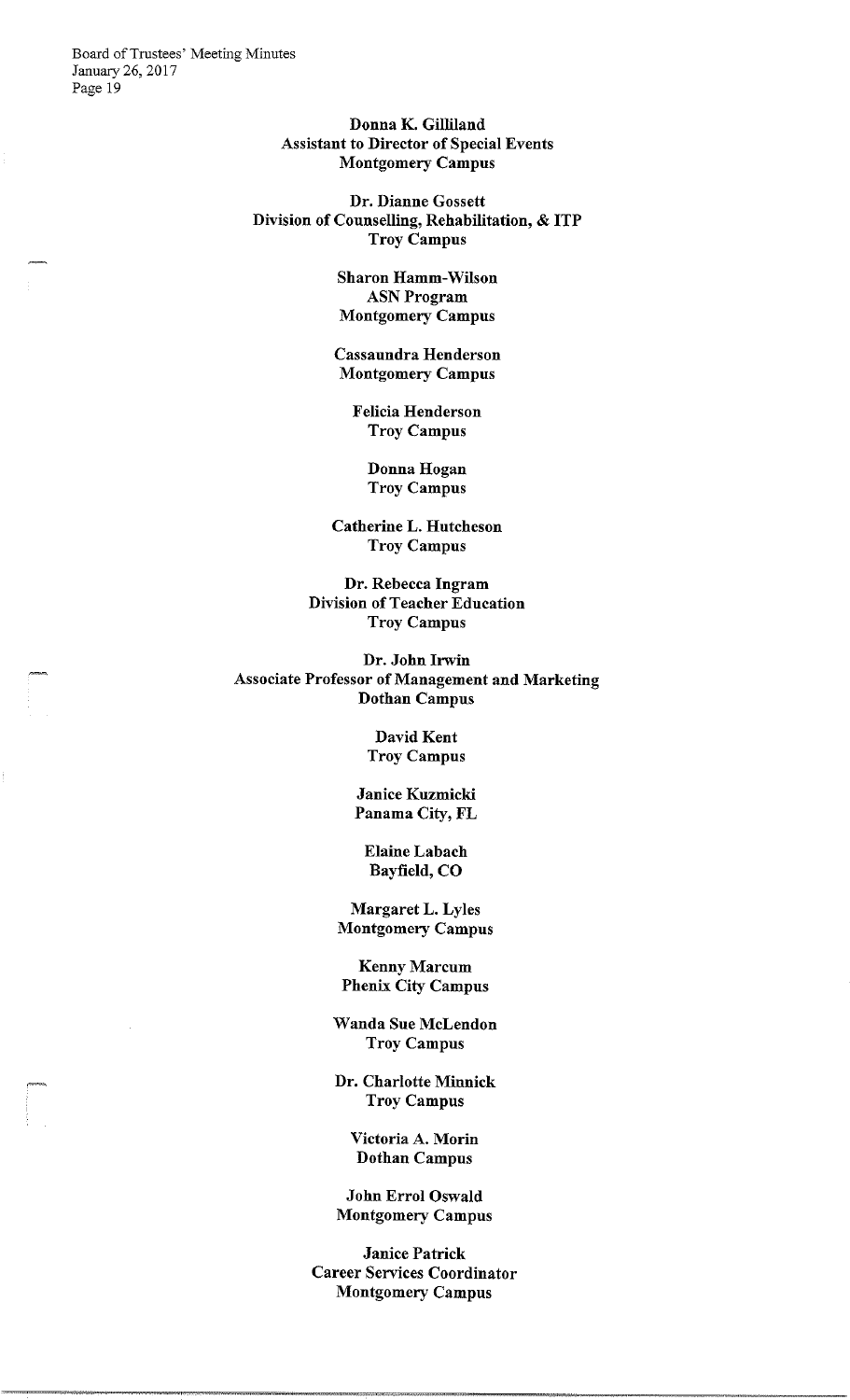> Donna K. Gilliland Assistant to Director of Special Events Montgomery Campus

Dr. Dianne Gossett Division of Counselling, Rehabilitation, & ITP Troy Campus

> Sharon Hamm-Wilson **ASN Program** Montgomery Campus

Cassaundra Henderson Montgomery Campus

> Felicia Henderson Troy Campus

> > Donna Hogan Troy Campus

Catherine L. Hutcheson Troy Campus

Dr. Rebecca Ingram Division of Teacher Education Troy Campus

Dr. John Irwin Associate Professor of Management and Marketing Dothan Campus

> David Kent Troy Campus

Janice Kuzmicki Panama City, FL

Elaine Labach Bayfield, CO

Margaret L. Lyles Montgomery Campus

Kenny Marcum Phenix City Campus

Wanda Sue McLendon Troy Campus

Dr. Charlotte Minnick Troy Campus

> Victoria A. Morin Dothan Campus

John Errol Oswald Montgomery Campus

Janice Patrick Career Services Coordinator Montgomery Campus